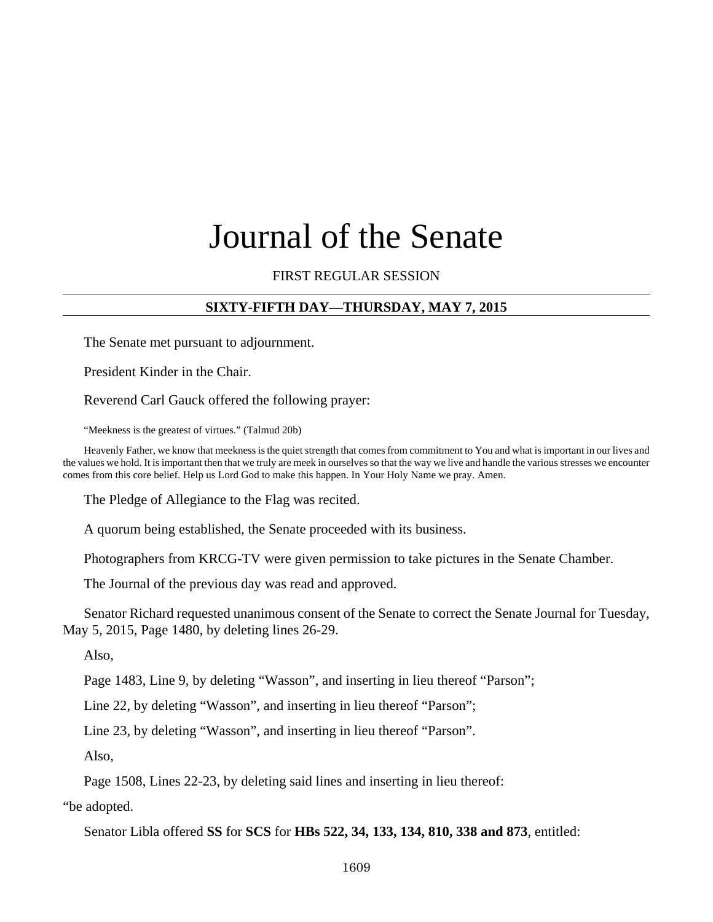# Journal of the Senate

# FIRST REGULAR SESSION

# **SIXTY-FIFTH DAY—THURSDAY, MAY 7, 2015**

The Senate met pursuant to adjournment.

President Kinder in the Chair.

Reverend Carl Gauck offered the following prayer:

"Meekness is the greatest of virtues." (Talmud 20b)

Heavenly Father, we know that meekness is the quiet strength that comes from commitment to You and what is important in our lives and the values we hold. It is important then that we truly are meek in ourselves so that the way we live and handle the various stresses we encounter comes from this core belief. Help us Lord God to make this happen. In Your Holy Name we pray. Amen.

The Pledge of Allegiance to the Flag was recited.

A quorum being established, the Senate proceeded with its business.

Photographers from KRCG-TV were given permission to take pictures in the Senate Chamber.

The Journal of the previous day was read and approved.

Senator Richard requested unanimous consent of the Senate to correct the Senate Journal for Tuesday, May 5, 2015, Page 1480, by deleting lines 26-29.

Also,

Page 1483, Line 9, by deleting "Wasson", and inserting in lieu thereof "Parson";

Line 22, by deleting "Wasson", and inserting in lieu thereof "Parson";

Line 23, by deleting "Wasson", and inserting in lieu thereof "Parson".

Also,

Page 1508, Lines 22-23, by deleting said lines and inserting in lieu thereof:

"be adopted.

Senator Libla offered **SS** for **SCS** for **HBs 522, 34, 133, 134, 810, 338 and 873**, entitled: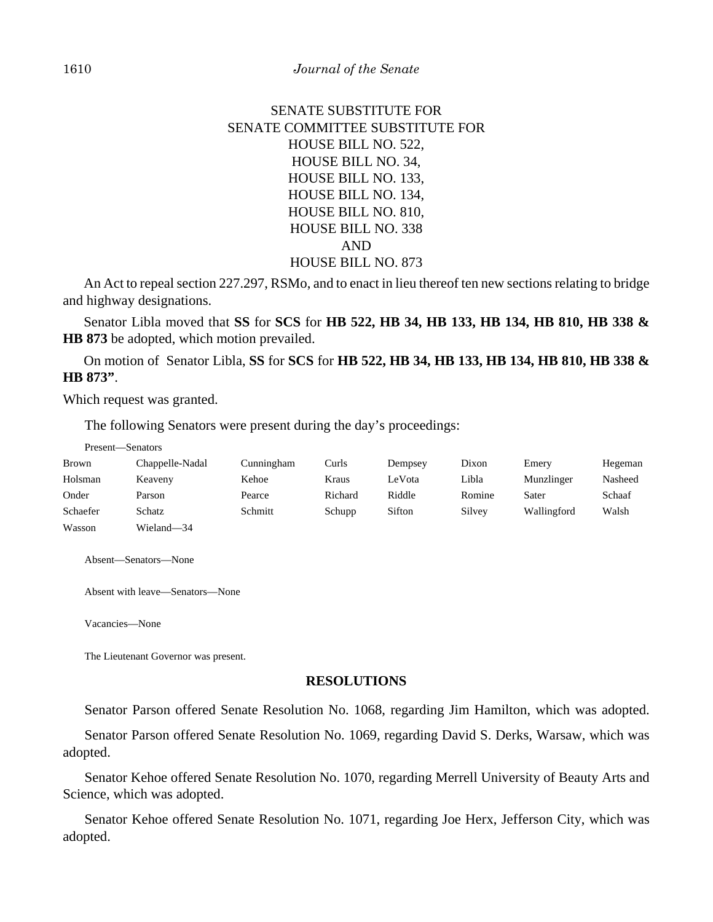# SENATE SUBSTITUTE FOR SENATE COMMITTEE SUBSTITUTE FOR HOUSE BILL NO. 522, HOUSE BILL NO. 34, HOUSE BILL NO. 133, HOUSE BILL NO. 134, HOUSE BILL NO. 810, HOUSE BILL NO. 338 AND HOUSE BILL NO. 873

An Act to repeal section 227.297, RSMo, and to enact in lieu thereof ten new sections relating to bridge and highway designations.

Senator Libla moved that **SS** for **SCS** for **HB 522, HB 34, HB 133, HB 134, HB 810, HB 338 & HB 873** be adopted, which motion prevailed.

On motion of Senator Libla, **SS** for **SCS** for **HB 522, HB 34, HB 133, HB 134, HB 810, HB 338 & HB 873"**.

Which request was granted.

The following Senators were present during the day's proceedings:

|              | Present—Senators |            |         |         |        |             |         |
|--------------|------------------|------------|---------|---------|--------|-------------|---------|
| <b>Brown</b> | Chappelle-Nadal  | Cunningham | Curls   | Dempsey | Dixon  | Emery       | Hegeman |
| Holsman      | Keaveny          | Kehoe      | Kraus   | LeVota  | Libla  | Munzlinger  | Nasheed |
| Onder        | Parson           | Pearce     | Richard | Riddle  | Romine | Sater       | Schaaf  |
| Schaefer     | Schatz           | Schmitt    | Schupp  | Sifton  | Silvey | Wallingford | Walsh   |
| Wasson       | Wieland—34       |            |         |         |        |             |         |

Absent—Senators—None

Absent with leave—Senators—None

Vacancies—None

The Lieutenant Governor was present.

#### **RESOLUTIONS**

Senator Parson offered Senate Resolution No. 1068, regarding Jim Hamilton, which was adopted.

Senator Parson offered Senate Resolution No. 1069, regarding David S. Derks, Warsaw, which was adopted.

Senator Kehoe offered Senate Resolution No. 1070, regarding Merrell University of Beauty Arts and Science, which was adopted.

Senator Kehoe offered Senate Resolution No. 1071, regarding Joe Herx, Jefferson City, which was adopted.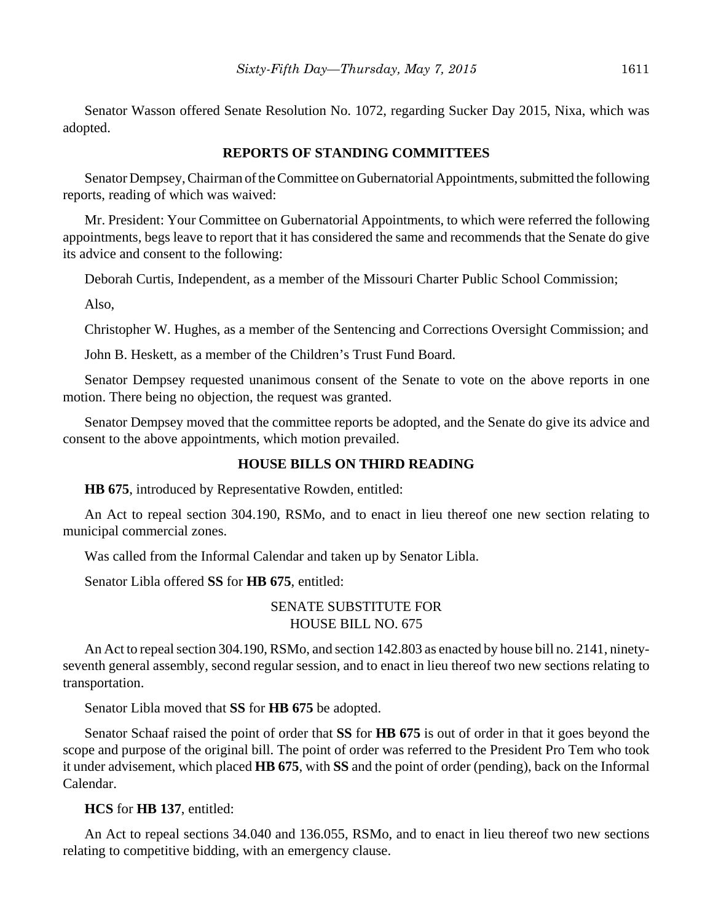Senator Wasson offered Senate Resolution No. 1072, regarding Sucker Day 2015, Nixa, which was adopted.

#### **REPORTS OF STANDING COMMITTEES**

Senator Dempsey, Chairman of the Committee on Gubernatorial Appointments, submitted the following reports, reading of which was waived:

Mr. President: Your Committee on Gubernatorial Appointments, to which were referred the following appointments, begs leave to report that it has considered the same and recommends that the Senate do give its advice and consent to the following:

Deborah Curtis, Independent, as a member of the Missouri Charter Public School Commission;

Also,

Christopher W. Hughes, as a member of the Sentencing and Corrections Oversight Commission; and

John B. Heskett, as a member of the Children's Trust Fund Board.

Senator Dempsey requested unanimous consent of the Senate to vote on the above reports in one motion. There being no objection, the request was granted.

Senator Dempsey moved that the committee reports be adopted, and the Senate do give its advice and consent to the above appointments, which motion prevailed.

#### **HOUSE BILLS ON THIRD READING**

**HB 675**, introduced by Representative Rowden, entitled:

An Act to repeal section 304.190, RSMo, and to enact in lieu thereof one new section relating to municipal commercial zones.

Was called from the Informal Calendar and taken up by Senator Libla.

Senator Libla offered **SS** for **HB 675**, entitled:

## SENATE SUBSTITUTE FOR HOUSE BILL NO. 675

An Act to repeal section 304.190, RSMo, and section 142.803 as enacted by house bill no. 2141, ninetyseventh general assembly, second regular session, and to enact in lieu thereof two new sections relating to transportation.

Senator Libla moved that **SS** for **HB 675** be adopted.

Senator Schaaf raised the point of order that **SS** for **HB 675** is out of order in that it goes beyond the scope and purpose of the original bill. The point of order was referred to the President Pro Tem who took it under advisement, which placed **HB 675**, with **SS** and the point of order (pending), back on the Informal Calendar.

## **HCS** for **HB 137**, entitled:

An Act to repeal sections 34.040 and 136.055, RSMo, and to enact in lieu thereof two new sections relating to competitive bidding, with an emergency clause.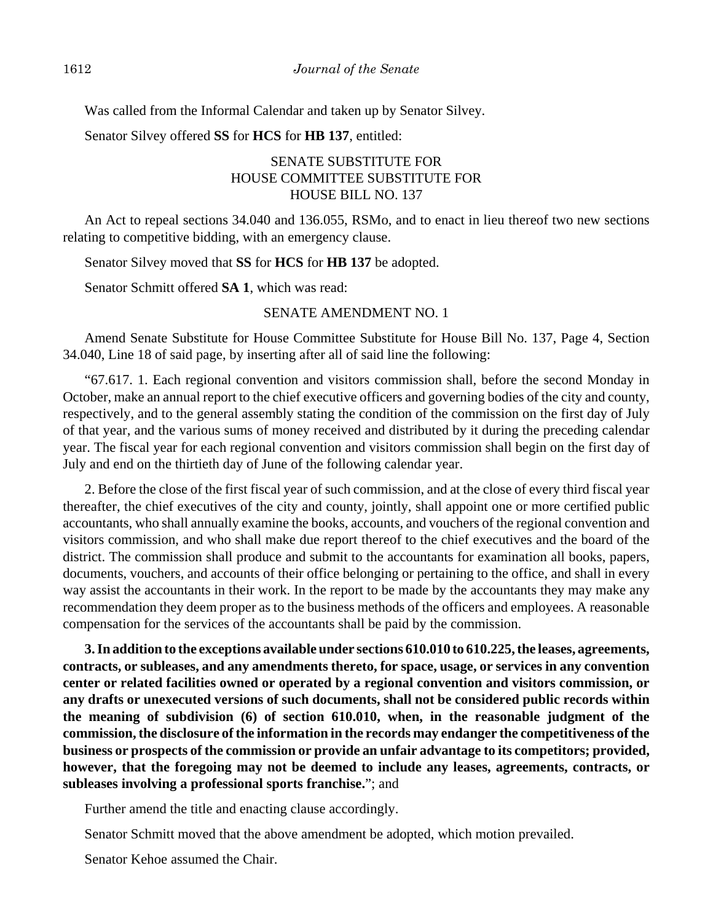Was called from the Informal Calendar and taken up by Senator Silvey.

Senator Silvey offered **SS** for **HCS** for **HB 137**, entitled:

# SENATE SUBSTITUTE FOR HOUSE COMMITTEE SUBSTITUTE FOR HOUSE BILL NO. 137

An Act to repeal sections 34.040 and 136.055, RSMo, and to enact in lieu thereof two new sections relating to competitive bidding, with an emergency clause.

Senator Silvey moved that **SS** for **HCS** for **HB 137** be adopted.

Senator Schmitt offered **SA 1**, which was read:

#### SENATE AMENDMENT NO. 1

Amend Senate Substitute for House Committee Substitute for House Bill No. 137, Page 4, Section 34.040, Line 18 of said page, by inserting after all of said line the following:

"67.617. 1. Each regional convention and visitors commission shall, before the second Monday in October, make an annual report to the chief executive officers and governing bodies of the city and county, respectively, and to the general assembly stating the condition of the commission on the first day of July of that year, and the various sums of money received and distributed by it during the preceding calendar year. The fiscal year for each regional convention and visitors commission shall begin on the first day of July and end on the thirtieth day of June of the following calendar year.

2. Before the close of the first fiscal year of such commission, and at the close of every third fiscal year thereafter, the chief executives of the city and county, jointly, shall appoint one or more certified public accountants, who shall annually examine the books, accounts, and vouchers of the regional convention and visitors commission, and who shall make due report thereof to the chief executives and the board of the district. The commission shall produce and submit to the accountants for examination all books, papers, documents, vouchers, and accounts of their office belonging or pertaining to the office, and shall in every way assist the accountants in their work. In the report to be made by the accountants they may make any recommendation they deem proper as to the business methods of the officers and employees. A reasonable compensation for the services of the accountants shall be paid by the commission.

**3. In addition to the exceptions available under sections 610.010 to 610.225, the leases, agreements, contracts, or subleases, and any amendments thereto, for space, usage, or services in any convention center or related facilities owned or operated by a regional convention and visitors commission, or any drafts or unexecuted versions of such documents, shall not be considered public records within the meaning of subdivision (6) of section 610.010, when, in the reasonable judgment of the commission, the disclosure of the information in the records may endanger the competitiveness of the business or prospects of the commission or provide an unfair advantage to its competitors; provided, however, that the foregoing may not be deemed to include any leases, agreements, contracts, or subleases involving a professional sports franchise.**"; and

Further amend the title and enacting clause accordingly.

Senator Schmitt moved that the above amendment be adopted, which motion prevailed.

Senator Kehoe assumed the Chair.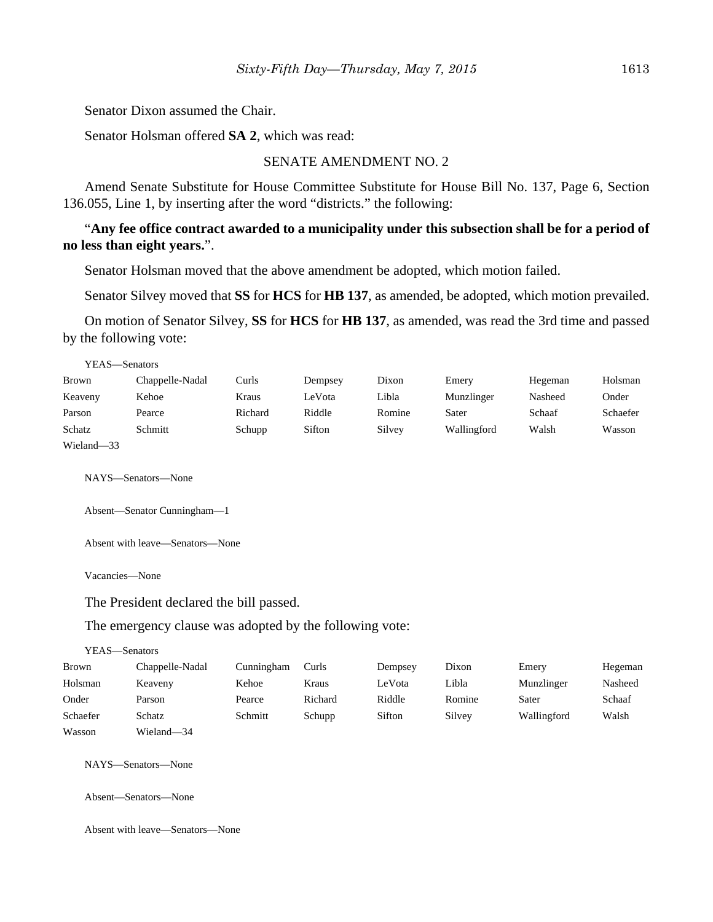Senator Dixon assumed the Chair.

Senator Holsman offered **SA 2**, which was read:

#### SENATE AMENDMENT NO. 2

Amend Senate Substitute for House Committee Substitute for House Bill No. 137, Page 6, Section 136.055, Line 1, by inserting after the word "districts." the following:

## "**Any fee office contract awarded to a municipality under this subsection shall be for a period of no less than eight years.**".

Senator Holsman moved that the above amendment be adopted, which motion failed.

Senator Silvey moved that **SS** for **HCS** for **HB 137**, as amended, be adopted, which motion prevailed.

On motion of Senator Silvey, **SS** for **HCS** for **HB 137**, as amended, was read the 3rd time and passed by the following vote:

| YEAS—Senators |                 |         |         |        |             |         |          |
|---------------|-----------------|---------|---------|--------|-------------|---------|----------|
| Brown         | Chappelle-Nadal | Curls   | Dempsey | Dixon  | Emery       | Hegeman | Holsman  |
| Keaveny       | Kehoe           | Kraus   | LeVota  | Libla  | Munzlinger  | Nasheed | Onder    |
| Parson        | Pearce          | Richard | Riddle  | Romine | Sater       | Schaaf  | Schaefer |
| Schatz        | Schmitt         | Schupp  | Sifton  | Silvey | Wallingford | Walsh   | Wasson   |
| Wieland-33    |                 |         |         |        |             |         |          |

NAYS—Senators—None

```
Absent—Senator Cunningham—1
```
Absent with leave—Senators—None

Vacancies—None

The President declared the bill passed.

#### The emergency clause was adopted by the following vote:

#### YEAS—Senators

| Brown    | Chappelle-Nadal | Cunningham | Curls   | Dempsey | Dixon  | Emery       | Hegeman |
|----------|-----------------|------------|---------|---------|--------|-------------|---------|
| Holsman  | Keaveny         | Kehoe      | Kraus   | LeVota  | Libla  | Munzlinger  | Nasheed |
| Onder    | Parson          | Pearce     | Richard | Riddle  | Romine | Sater       | Schaaf  |
| Schaefer | Schatz          | Schmitt    | Schupp  | Sifton  | Silvey | Wallingford | Walsh   |
| Wasson   | Wieland-34      |            |         |         |        |             |         |

NAYS—Senators—None

Absent—Senators—None

Absent with leave—Senators—None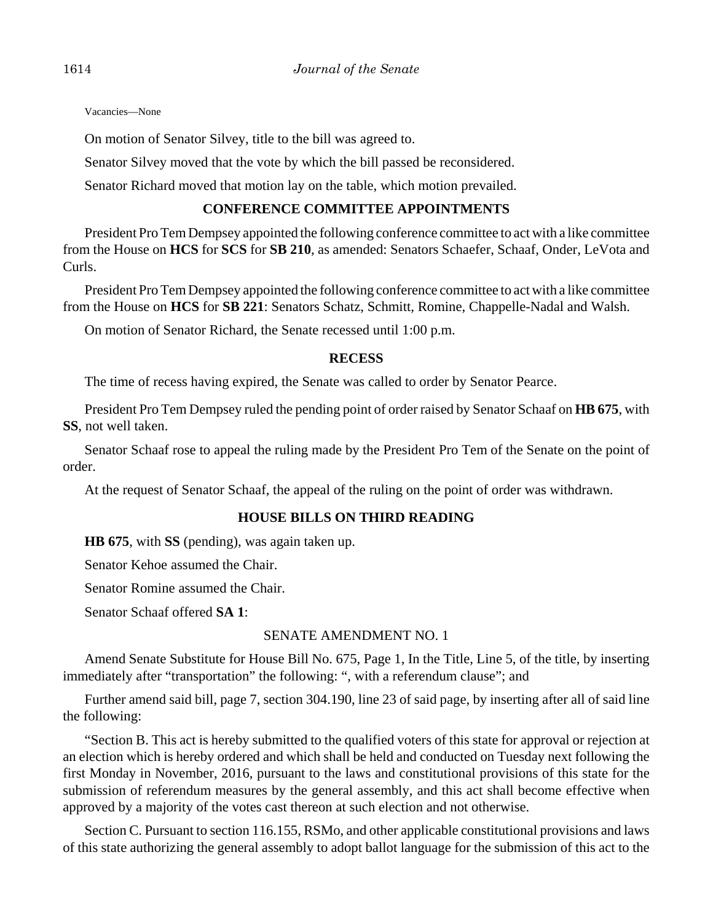Vacancies—None

On motion of Senator Silvey, title to the bill was agreed to.

Senator Silvey moved that the vote by which the bill passed be reconsidered.

Senator Richard moved that motion lay on the table, which motion prevailed.

#### **CONFERENCE COMMITTEE APPOINTMENTS**

President Pro Tem Dempsey appointed the following conference committee to act with a like committee from the House on **HCS** for **SCS** for **SB 210**, as amended: Senators Schaefer, Schaaf, Onder, LeVota and Curls.

President Pro Tem Dempsey appointed the following conference committee to act with a like committee from the House on **HCS** for **SB 221**: Senators Schatz, Schmitt, Romine, Chappelle-Nadal and Walsh.

On motion of Senator Richard, the Senate recessed until 1:00 p.m.

#### **RECESS**

The time of recess having expired, the Senate was called to order by Senator Pearce.

President Pro Tem Dempsey ruled the pending point of order raised by Senator Schaaf on **HB 675**, with **SS**, not well taken.

Senator Schaaf rose to appeal the ruling made by the President Pro Tem of the Senate on the point of order.

At the request of Senator Schaaf, the appeal of the ruling on the point of order was withdrawn.

#### **HOUSE BILLS ON THIRD READING**

**HB 675**, with **SS** (pending), was again taken up.

Senator Kehoe assumed the Chair.

Senator Romine assumed the Chair.

Senator Schaaf offered **SA 1**:

## SENATE AMENDMENT NO. 1

Amend Senate Substitute for House Bill No. 675, Page 1, In the Title, Line 5, of the title, by inserting immediately after "transportation" the following: ", with a referendum clause"; and

Further amend said bill, page 7, section 304.190, line 23 of said page, by inserting after all of said line the following:

"Section B. This act is hereby submitted to the qualified voters of this state for approval or rejection at an election which is hereby ordered and which shall be held and conducted on Tuesday next following the first Monday in November, 2016, pursuant to the laws and constitutional provisions of this state for the submission of referendum measures by the general assembly, and this act shall become effective when approved by a majority of the votes cast thereon at such election and not otherwise.

Section C. Pursuant to section 116.155, RSMo, and other applicable constitutional provisions and laws of this state authorizing the general assembly to adopt ballot language for the submission of this act to the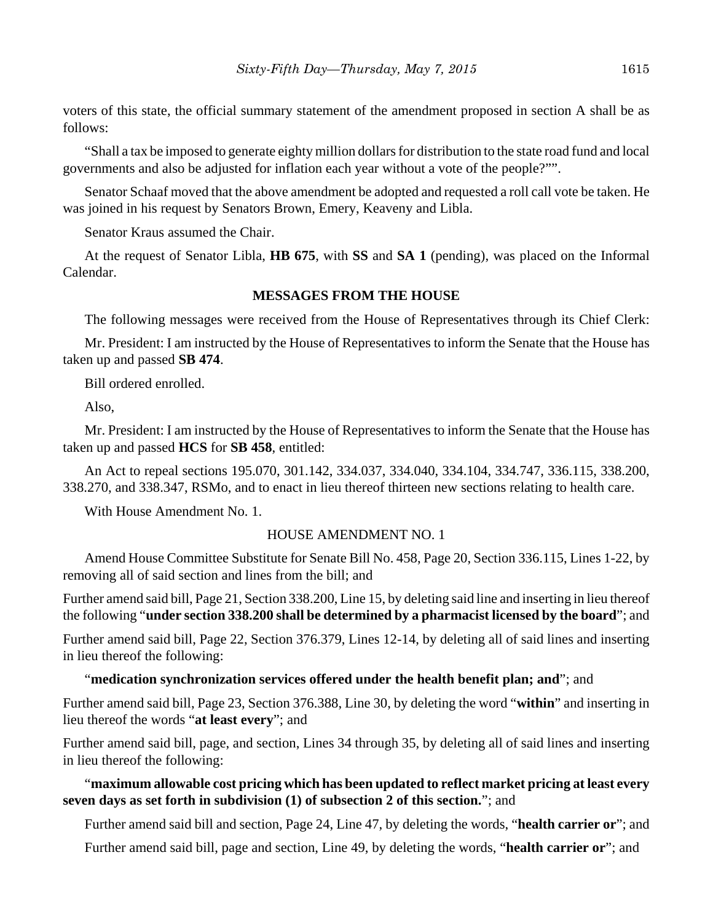voters of this state, the official summary statement of the amendment proposed in section A shall be as follows:

"Shall a tax be imposed to generate eighty million dollars for distribution to the state road fund and local governments and also be adjusted for inflation each year without a vote of the people?"".

Senator Schaaf moved that the above amendment be adopted and requested a roll call vote be taken. He was joined in his request by Senators Brown, Emery, Keaveny and Libla.

Senator Kraus assumed the Chair.

At the request of Senator Libla, **HB 675**, with **SS** and **SA 1** (pending), was placed on the Informal Calendar.

#### **MESSAGES FROM THE HOUSE**

The following messages were received from the House of Representatives through its Chief Clerk:

Mr. President: I am instructed by the House of Representatives to inform the Senate that the House has taken up and passed **SB 474**.

Bill ordered enrolled.

Also,

Mr. President: I am instructed by the House of Representatives to inform the Senate that the House has taken up and passed **HCS** for **SB 458**, entitled:

An Act to repeal sections 195.070, 301.142, 334.037, 334.040, 334.104, 334.747, 336.115, 338.200, 338.270, and 338.347, RSMo, and to enact in lieu thereof thirteen new sections relating to health care.

With House Amendment No. 1.

#### HOUSE AMENDMENT NO. 1

Amend House Committee Substitute for Senate Bill No. 458, Page 20, Section 336.115, Lines 1-22, by removing all of said section and lines from the bill; and

Further amend said bill, Page 21, Section 338.200, Line 15, by deleting said line and inserting in lieu thereof the following "**under section 338.200 shall be determined by a pharmacist licensed by the board**"; and

Further amend said bill, Page 22, Section 376.379, Lines 12-14, by deleting all of said lines and inserting in lieu thereof the following:

"**medication synchronization services offered under the health benefit plan; and**"; and

Further amend said bill, Page 23, Section 376.388, Line 30, by deleting the word "**within**" and inserting in lieu thereof the words "**at least every**"; and

Further amend said bill, page, and section, Lines 34 through 35, by deleting all of said lines and inserting in lieu thereof the following:

## "**maximum allowable cost pricing which has been updated to reflect market pricing at least every seven days as set forth in subdivision (1) of subsection 2 of this section.**"; and

Further amend said bill and section, Page 24, Line 47, by deleting the words, "**health carrier or**"; and

Further amend said bill, page and section, Line 49, by deleting the words, "**health carrier or**"; and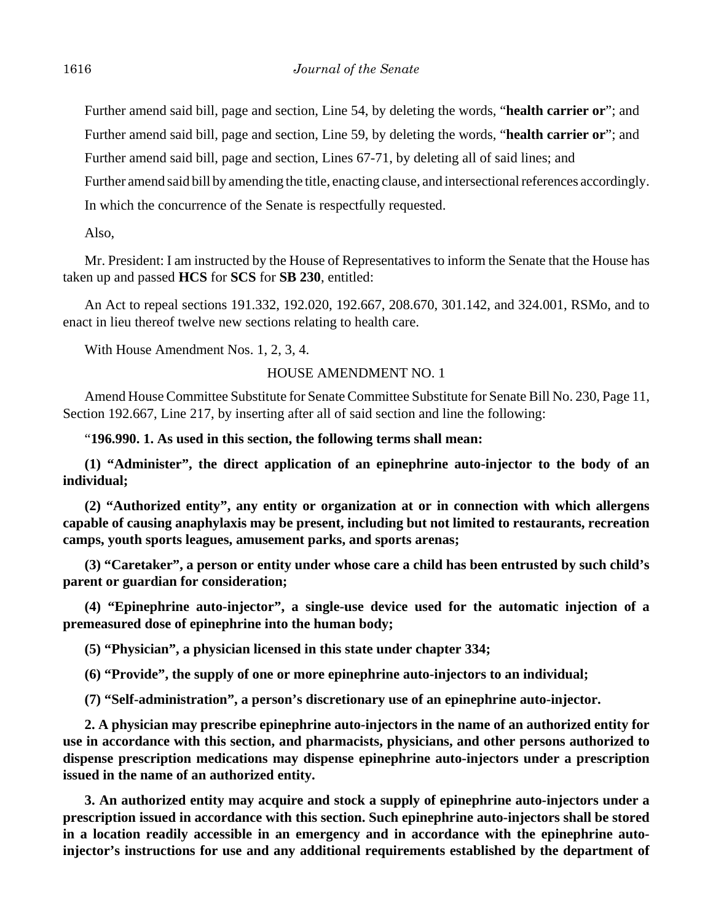Further amend said bill, page and section, Line 54, by deleting the words, "**health carrier or**"; and

Further amend said bill, page and section, Line 59, by deleting the words, "**health carrier or**"; and

Further amend said bill, page and section, Lines 67-71, by deleting all of said lines; and

Further amend said bill by amending the title, enacting clause, and intersectional references accordingly.

In which the concurrence of the Senate is respectfully requested.

Also,

Mr. President: I am instructed by the House of Representatives to inform the Senate that the House has taken up and passed **HCS** for **SCS** for **SB 230**, entitled:

An Act to repeal sections 191.332, 192.020, 192.667, 208.670, 301.142, and 324.001, RSMo, and to enact in lieu thereof twelve new sections relating to health care.

With House Amendment Nos. 1, 2, 3, 4.

HOUSE AMENDMENT NO. 1

Amend House Committee Substitute for Senate Committee Substitute for Senate Bill No. 230, Page 11, Section 192.667, Line 217, by inserting after all of said section and line the following:

"**196.990. 1. As used in this section, the following terms shall mean:**

**(1) "Administer", the direct application of an epinephrine auto-injector to the body of an individual;**

**(2) "Authorized entity", any entity or organization at or in connection with which allergens capable of causing anaphylaxis may be present, including but not limited to restaurants, recreation camps, youth sports leagues, amusement parks, and sports arenas;**

**(3) "Caretaker", a person or entity under whose care a child has been entrusted by such child's parent or guardian for consideration;**

**(4) "Epinephrine auto-injector", a single-use device used for the automatic injection of a premeasured dose of epinephrine into the human body;**

**(5) "Physician", a physician licensed in this state under chapter 334;**

**(6) "Provide", the supply of one or more epinephrine auto-injectors to an individual;**

**(7) "Self-administration", a person's discretionary use of an epinephrine auto-injector.**

**2. A physician may prescribe epinephrine auto-injectors in the name of an authorized entity for use in accordance with this section, and pharmacists, physicians, and other persons authorized to dispense prescription medications may dispense epinephrine auto-injectors under a prescription issued in the name of an authorized entity.**

**3. An authorized entity may acquire and stock a supply of epinephrine auto-injectors under a prescription issued in accordance with this section. Such epinephrine auto-injectors shall be stored in a location readily accessible in an emergency and in accordance with the epinephrine autoinjector's instructions for use and any additional requirements established by the department of**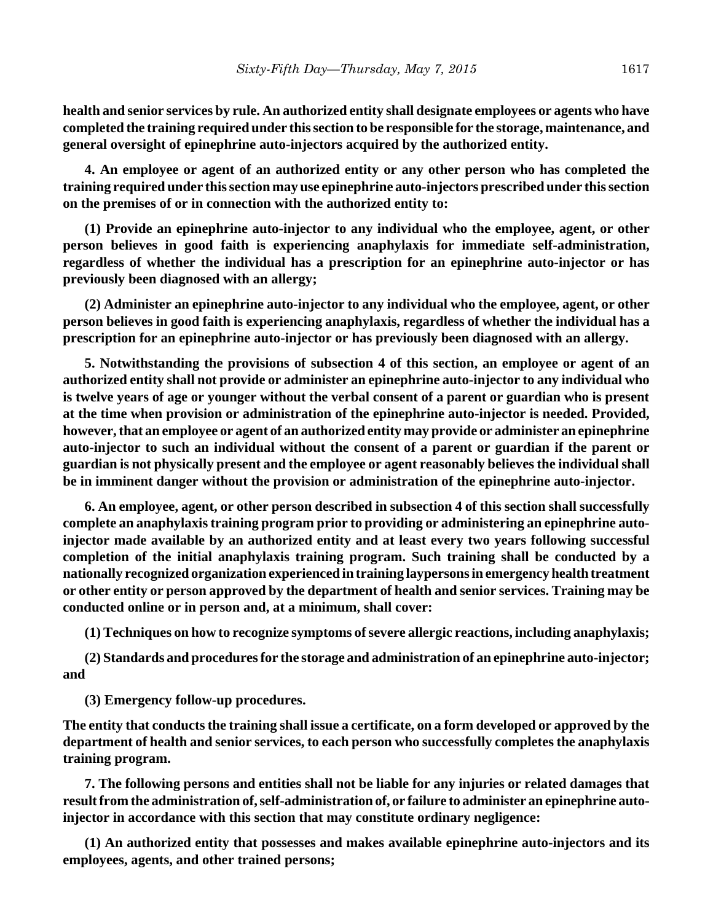**health and senior services by rule. An authorized entity shall designate employees or agents who have completed the training required under this section to be responsible for the storage, maintenance, and general oversight of epinephrine auto-injectors acquired by the authorized entity.**

**4. An employee or agent of an authorized entity or any other person who has completed the training required under this section may use epinephrine auto-injectors prescribed under this section on the premises of or in connection with the authorized entity to:**

**(1) Provide an epinephrine auto-injector to any individual who the employee, agent, or other person believes in good faith is experiencing anaphylaxis for immediate self-administration, regardless of whether the individual has a prescription for an epinephrine auto-injector or has previously been diagnosed with an allergy;**

**(2) Administer an epinephrine auto-injector to any individual who the employee, agent, or other person believes in good faith is experiencing anaphylaxis, regardless of whether the individual has a prescription for an epinephrine auto-injector or has previously been diagnosed with an allergy.**

**5. Notwithstanding the provisions of subsection 4 of this section, an employee or agent of an authorized entity shall not provide or administer an epinephrine auto-injector to any individual who is twelve years of age or younger without the verbal consent of a parent or guardian who is present at the time when provision or administration of the epinephrine auto-injector is needed. Provided, however, that an employee or agent of an authorized entity may provide or administer an epinephrine auto-injector to such an individual without the consent of a parent or guardian if the parent or guardian is not physically present and the employee or agent reasonably believes the individual shall be in imminent danger without the provision or administration of the epinephrine auto-injector.**

**6. An employee, agent, or other person described in subsection 4 of this section shall successfully complete an anaphylaxis training program prior to providing or administering an epinephrine autoinjector made available by an authorized entity and at least every two years following successful completion of the initial anaphylaxis training program. Such training shall be conducted by a nationally recognized organization experienced in training laypersons in emergency health treatment or other entity or person approved by the department of health and senior services. Training may be conducted online or in person and, at a minimum, shall cover:**

**(1) Techniques on how to recognize symptoms of severe allergic reactions, including anaphylaxis;**

**(2) Standards and procedures for the storage and administration of an epinephrine auto-injector; and**

**(3) Emergency follow-up procedures.**

**The entity that conducts the training shall issue a certificate, on a form developed or approved by the department of health and senior services, to each person who successfully completes the anaphylaxis training program.**

**7. The following persons and entities shall not be liable for any injuries or related damages that result from the administration of, self-administration of, or failure to administer an epinephrine autoinjector in accordance with this section that may constitute ordinary negligence:**

**(1) An authorized entity that possesses and makes available epinephrine auto-injectors and its employees, agents, and other trained persons;**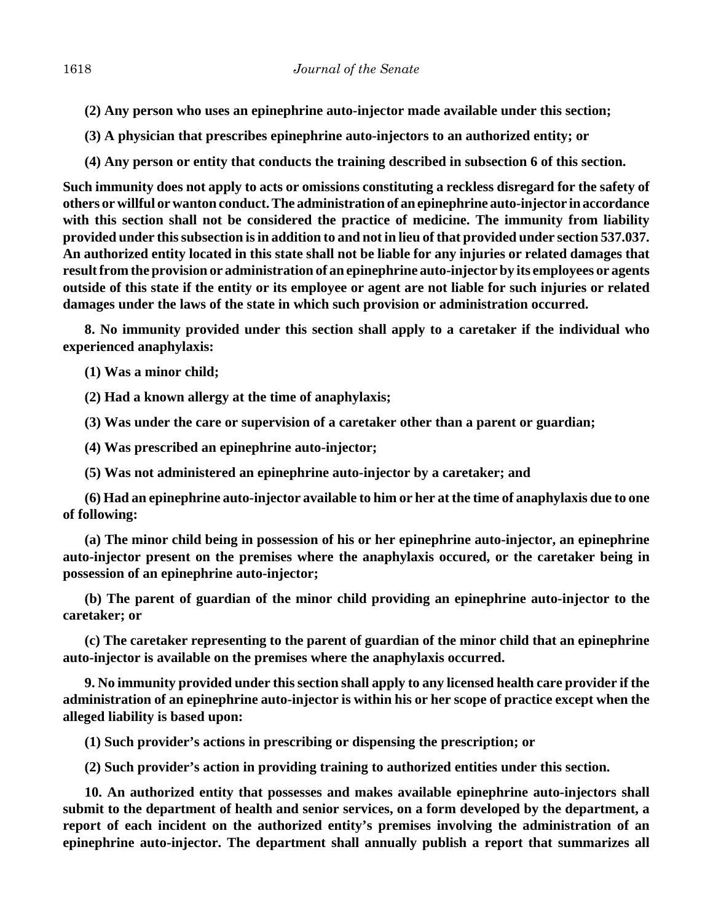- **(2) Any person who uses an epinephrine auto-injector made available under this section;**
- **(3) A physician that prescribes epinephrine auto-injectors to an authorized entity; or**
- **(4) Any person or entity that conducts the training described in subsection 6 of this section.**

**Such immunity does not apply to acts or omissions constituting a reckless disregard for the safety of others or willful or wanton conduct. The administration of an epinephrine auto-injector in accordance with this section shall not be considered the practice of medicine. The immunity from liability provided under this subsection is in addition to and not in lieu of that provided under section 537.037. An authorized entity located in this state shall not be liable for any injuries or related damages that result from the provision or administration of an epinephrine auto-injector by its employees or agents outside of this state if the entity or its employee or agent are not liable for such injuries or related damages under the laws of the state in which such provision or administration occurred.**

**8. No immunity provided under this section shall apply to a caretaker if the individual who experienced anaphylaxis:**

**(1) Was a minor child;**

**(2) Had a known allergy at the time of anaphylaxis;**

**(3) Was under the care or supervision of a caretaker other than a parent or guardian;**

**(4) Was prescribed an epinephrine auto-injector;**

**(5) Was not administered an epinephrine auto-injector by a caretaker; and**

**(6) Had an epinephrine auto-injector available to him or her at the time of anaphylaxis due to one of following:**

**(a) The minor child being in possession of his or her epinephrine auto-injector, an epinephrine auto-injector present on the premises where the anaphylaxis occured, or the caretaker being in possession of an epinephrine auto-injector;**

**(b) The parent of guardian of the minor child providing an epinephrine auto-injector to the caretaker; or**

**(c) The caretaker representing to the parent of guardian of the minor child that an epinephrine auto-injector is available on the premises where the anaphylaxis occurred.**

**9. No immunity provided under this section shall apply to any licensed health care provider if the administration of an epinephrine auto-injector is within his or her scope of practice except when the alleged liability is based upon:**

**(1) Such provider's actions in prescribing or dispensing the prescription; or**

**(2) Such provider's action in providing training to authorized entities under this section.**

**10. An authorized entity that possesses and makes available epinephrine auto-injectors shall submit to the department of health and senior services, on a form developed by the department, a report of each incident on the authorized entity's premises involving the administration of an epinephrine auto-injector. The department shall annually publish a report that summarizes all**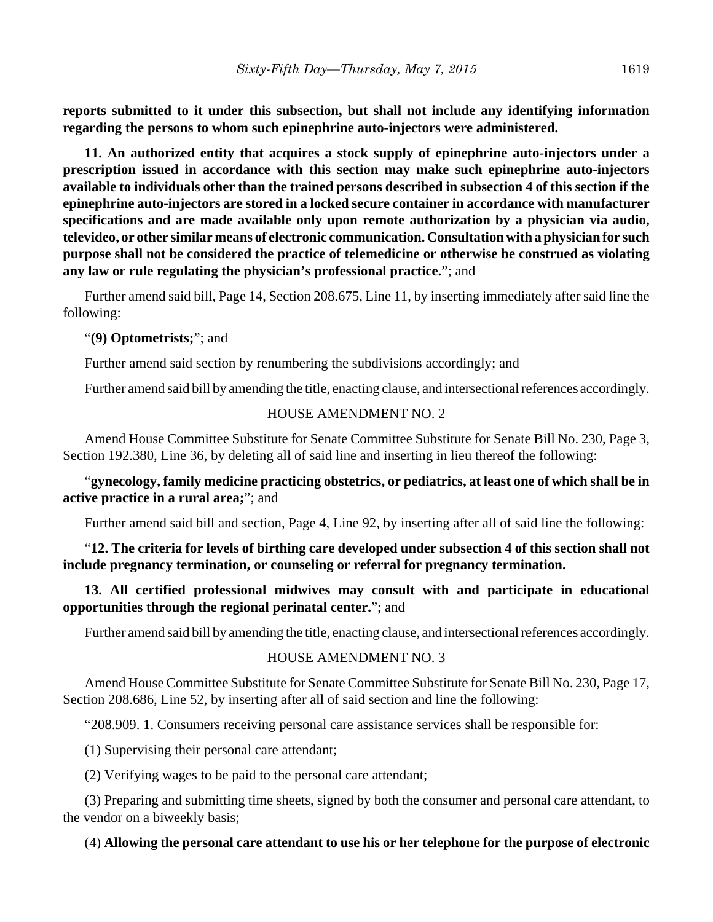**reports submitted to it under this subsection, but shall not include any identifying information regarding the persons to whom such epinephrine auto-injectors were administered.**

**11. An authorized entity that acquires a stock supply of epinephrine auto-injectors under a prescription issued in accordance with this section may make such epinephrine auto-injectors available to individuals other than the trained persons described in subsection 4 of this section if the epinephrine auto-injectors are stored in a locked secure container in accordance with manufacturer specifications and are made available only upon remote authorization by a physician via audio, televideo, or other similar means of electronic communication. Consultation with a physician for such purpose shall not be considered the practice of telemedicine or otherwise be construed as violating any law or rule regulating the physician's professional practice.**"; and

Further amend said bill, Page 14, Section 208.675, Line 11, by inserting immediately after said line the following:

#### "**(9) Optometrists;**"; and

Further amend said section by renumbering the subdivisions accordingly; and

Further amend said bill by amending the title, enacting clause, and intersectional references accordingly.

#### HOUSE AMENDMENT NO. 2

Amend House Committee Substitute for Senate Committee Substitute for Senate Bill No. 230, Page 3, Section 192.380, Line 36, by deleting all of said line and inserting in lieu thereof the following:

## "**gynecology, family medicine practicing obstetrics, or pediatrics, at least one of which shall be in active practice in a rural area;**"; and

Further amend said bill and section, Page 4, Line 92, by inserting after all of said line the following:

"**12. The criteria for levels of birthing care developed under subsection 4 of this section shall not include pregnancy termination, or counseling or referral for pregnancy termination.**

## **13. All certified professional midwives may consult with and participate in educational opportunities through the regional perinatal center.**"; and

Further amend said bill by amending the title, enacting clause, and intersectional references accordingly.

#### HOUSE AMENDMENT NO. 3

Amend House Committee Substitute for Senate Committee Substitute for Senate Bill No. 230, Page 17, Section 208.686, Line 52, by inserting after all of said section and line the following:

"208.909. 1. Consumers receiving personal care assistance services shall be responsible for:

(1) Supervising their personal care attendant;

(2) Verifying wages to be paid to the personal care attendant;

(3) Preparing and submitting time sheets, signed by both the consumer and personal care attendant, to the vendor on a biweekly basis;

#### (4) **Allowing the personal care attendant to use his or her telephone for the purpose of electronic**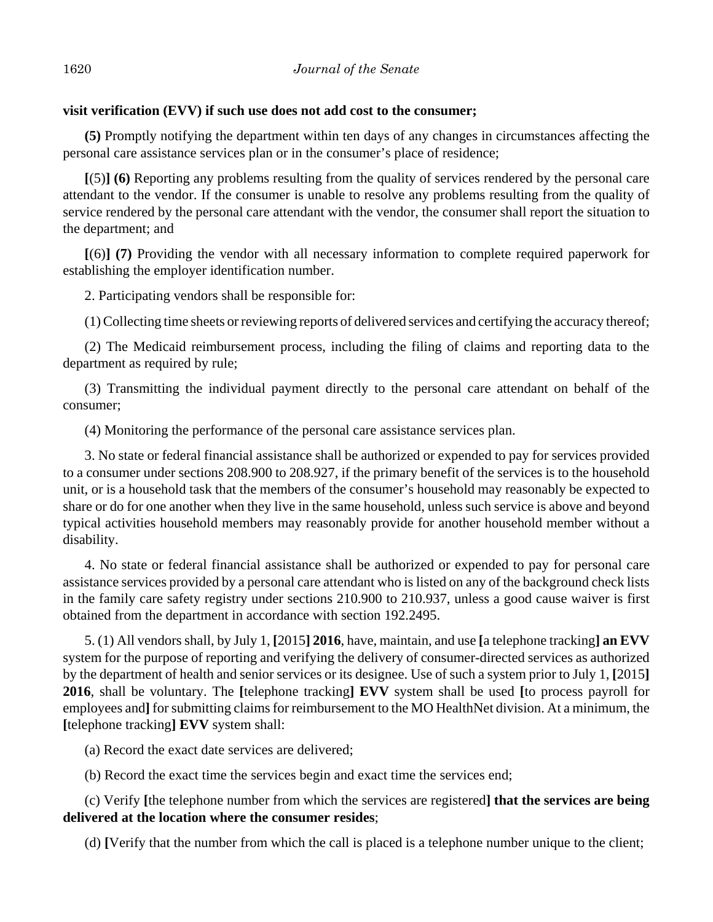## **visit verification (EVV) if such use does not add cost to the consumer;**

**(5)** Promptly notifying the department within ten days of any changes in circumstances affecting the personal care assistance services plan or in the consumer's place of residence;

**[**(5)**] (6)** Reporting any problems resulting from the quality of services rendered by the personal care attendant to the vendor. If the consumer is unable to resolve any problems resulting from the quality of service rendered by the personal care attendant with the vendor, the consumer shall report the situation to the department; and

**[**(6)**] (7)** Providing the vendor with all necessary information to complete required paperwork for establishing the employer identification number.

2. Participating vendors shall be responsible for:

(1) Collecting time sheets or reviewing reports of delivered services and certifying the accuracy thereof;

(2) The Medicaid reimbursement process, including the filing of claims and reporting data to the department as required by rule;

(3) Transmitting the individual payment directly to the personal care attendant on behalf of the consumer;

(4) Monitoring the performance of the personal care assistance services plan.

3. No state or federal financial assistance shall be authorized or expended to pay for services provided to a consumer under sections 208.900 to 208.927, if the primary benefit of the services is to the household unit, or is a household task that the members of the consumer's household may reasonably be expected to share or do for one another when they live in the same household, unless such service is above and beyond typical activities household members may reasonably provide for another household member without a disability.

4. No state or federal financial assistance shall be authorized or expended to pay for personal care assistance services provided by a personal care attendant who is listed on any of the background check lists in the family care safety registry under sections 210.900 to 210.937, unless a good cause waiver is first obtained from the department in accordance with section 192.2495.

5. (1) All vendors shall, by July 1, **[**2015**] 2016**, have, maintain, and use **[**a telephone tracking**] an EVV** system for the purpose of reporting and verifying the delivery of consumer-directed services as authorized by the department of health and senior services or its designee. Use of such a system prior to July 1, **[**2015**] 2016**, shall be voluntary. The **[**telephone tracking**] EVV** system shall be used **[**to process payroll for employees and**]** for submitting claims for reimbursement to the MO HealthNet division. At a minimum, the **[**telephone tracking**] EVV** system shall:

(a) Record the exact date services are delivered;

(b) Record the exact time the services begin and exact time the services end;

(c) Verify **[**the telephone number from which the services are registered**] that the services are being delivered at the location where the consumer resides**;

(d) **[**Verify that the number from which the call is placed is a telephone number unique to the client;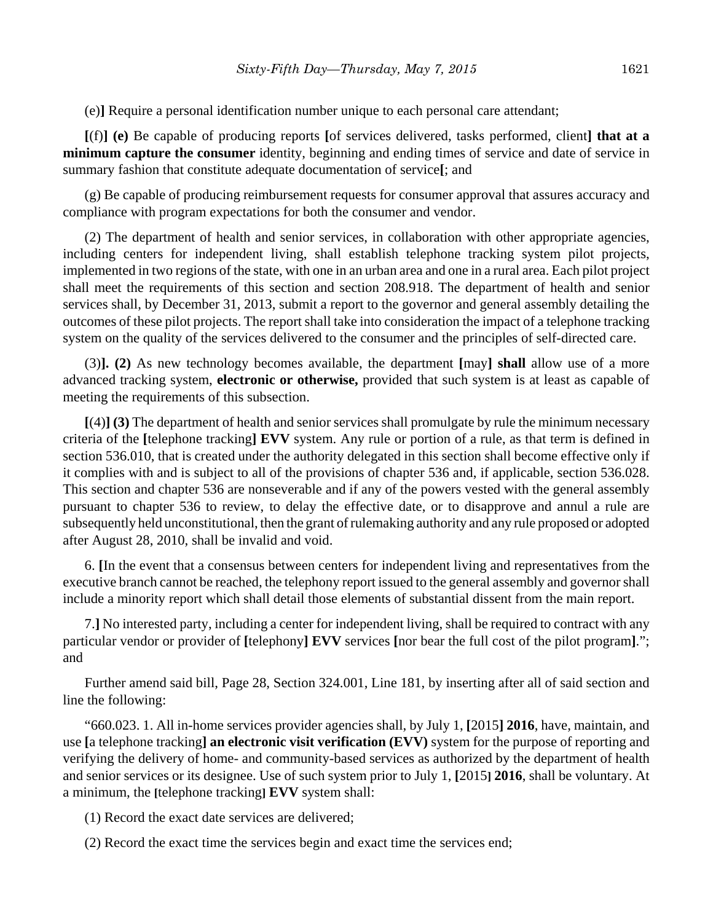(e)**]** Require a personal identification number unique to each personal care attendant;

**[**(f)**] (e)** Be capable of producing reports **[**of services delivered, tasks performed, client**] that at a minimum capture the consumer** identity, beginning and ending times of service and date of service in summary fashion that constitute adequate documentation of service**[**; and

(g) Be capable of producing reimbursement requests for consumer approval that assures accuracy and compliance with program expectations for both the consumer and vendor.

(2) The department of health and senior services, in collaboration with other appropriate agencies, including centers for independent living, shall establish telephone tracking system pilot projects, implemented in two regions of the state, with one in an urban area and one in a rural area. Each pilot project shall meet the requirements of this section and section 208.918. The department of health and senior services shall, by December 31, 2013, submit a report to the governor and general assembly detailing the outcomes of these pilot projects. The report shall take into consideration the impact of a telephone tracking system on the quality of the services delivered to the consumer and the principles of self-directed care.

(3)**]. (2)** As new technology becomes available, the department **[**may**] shall** allow use of a more advanced tracking system, **electronic or otherwise,** provided that such system is at least as capable of meeting the requirements of this subsection.

**[**(4)**] (3)** The department of health and senior services shall promulgate by rule the minimum necessary criteria of the **[**telephone tracking**] EVV** system. Any rule or portion of a rule, as that term is defined in section 536.010, that is created under the authority delegated in this section shall become effective only if it complies with and is subject to all of the provisions of chapter 536 and, if applicable, section 536.028. This section and chapter 536 are nonseverable and if any of the powers vested with the general assembly pursuant to chapter 536 to review, to delay the effective date, or to disapprove and annul a rule are subsequently held unconstitutional, then the grant of rulemaking authority and any rule proposed or adopted after August 28, 2010, shall be invalid and void.

6. **[**In the event that a consensus between centers for independent living and representatives from the executive branch cannot be reached, the telephony report issued to the general assembly and governor shall include a minority report which shall detail those elements of substantial dissent from the main report.

7.**]** No interested party, including a center for independent living, shall be required to contract with any particular vendor or provider of **[**telephony**] EVV** services **[**nor bear the full cost of the pilot program**]**."; and

Further amend said bill, Page 28, Section 324.001, Line 181, by inserting after all of said section and line the following:

"660.023. 1. All in-home services provider agencies shall, by July 1, **[**2015**] 2016**, have, maintain, and use **[**a telephone tracking**] an electronic visit verification (EVV)** system for the purpose of reporting and verifying the delivery of home- and community-based services as authorized by the department of health and senior services or its designee. Use of such system prior to July 1, **[**2015**] 2016**, shall be voluntary. At a minimum, the **[**telephone tracking**] EVV** system shall:

(1) Record the exact date services are delivered;

(2) Record the exact time the services begin and exact time the services end;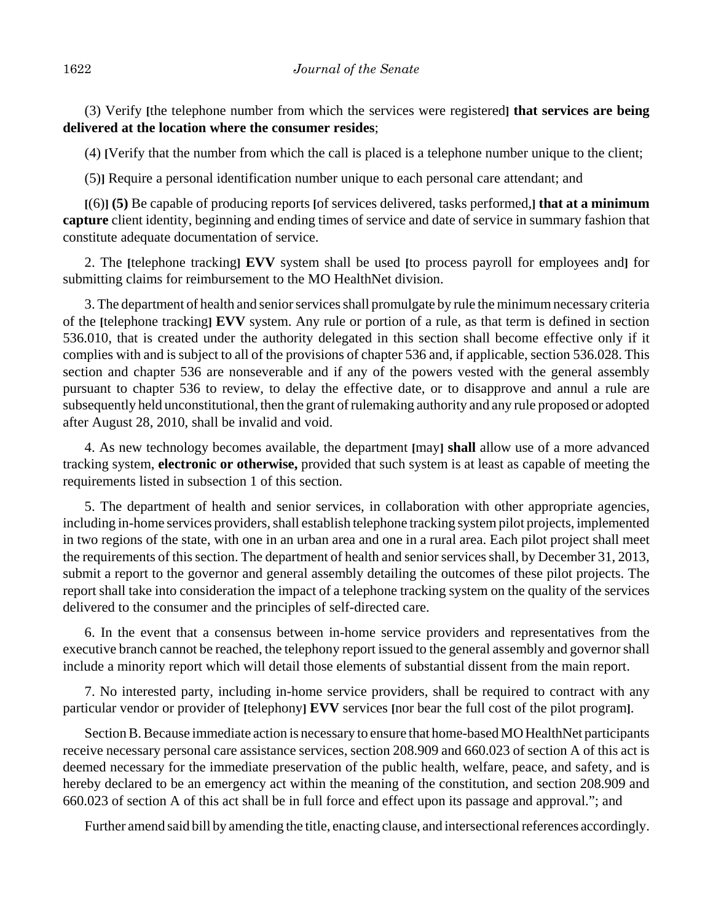(3) Verify **[**the telephone number from which the services were registered**] that services are being delivered at the location where the consumer resides**;

(4) **[**Verify that the number from which the call is placed is a telephone number unique to the client;

(5)**]** Require a personal identification number unique to each personal care attendant; and

**[**(6)**] (5)** Be capable of producing reports **[**of services delivered, tasks performed,**] that at a minimum capture** client identity, beginning and ending times of service and date of service in summary fashion that constitute adequate documentation of service.

2. The **[**telephone tracking**] EVV** system shall be used **[**to process payroll for employees and**]** for submitting claims for reimbursement to the MO HealthNet division.

3. The department of health and senior services shall promulgate by rule the minimum necessary criteria of the **[**telephone tracking**] EVV** system. Any rule or portion of a rule, as that term is defined in section 536.010, that is created under the authority delegated in this section shall become effective only if it complies with and is subject to all of the provisions of chapter 536 and, if applicable, section 536.028. This section and chapter 536 are nonseverable and if any of the powers vested with the general assembly pursuant to chapter 536 to review, to delay the effective date, or to disapprove and annul a rule are subsequently held unconstitutional, then the grant of rulemaking authority and any rule proposed or adopted after August 28, 2010, shall be invalid and void.

4. As new technology becomes available, the department **[**may**] shall** allow use of a more advanced tracking system, **electronic or otherwise,** provided that such system is at least as capable of meeting the requirements listed in subsection 1 of this section.

5. The department of health and senior services, in collaboration with other appropriate agencies, including in-home services providers, shall establish telephone tracking system pilot projects, implemented in two regions of the state, with one in an urban area and one in a rural area. Each pilot project shall meet the requirements of this section. The department of health and senior services shall, by December 31, 2013, submit a report to the governor and general assembly detailing the outcomes of these pilot projects. The report shall take into consideration the impact of a telephone tracking system on the quality of the services delivered to the consumer and the principles of self-directed care.

6. In the event that a consensus between in-home service providers and representatives from the executive branch cannot be reached, the telephony report issued to the general assembly and governor shall include a minority report which will detail those elements of substantial dissent from the main report.

7. No interested party, including in-home service providers, shall be required to contract with any particular vendor or provider of **[**telephony**] EVV** services **[**nor bear the full cost of the pilot program**]**.

Section B. Because immediate action is necessary to ensure that home-based MO HealthNet participants receive necessary personal care assistance services, section 208.909 and 660.023 of section A of this act is deemed necessary for the immediate preservation of the public health, welfare, peace, and safety, and is hereby declared to be an emergency act within the meaning of the constitution, and section 208.909 and 660.023 of section A of this act shall be in full force and effect upon its passage and approval."; and

Further amend said bill by amending the title, enacting clause, and intersectional references accordingly.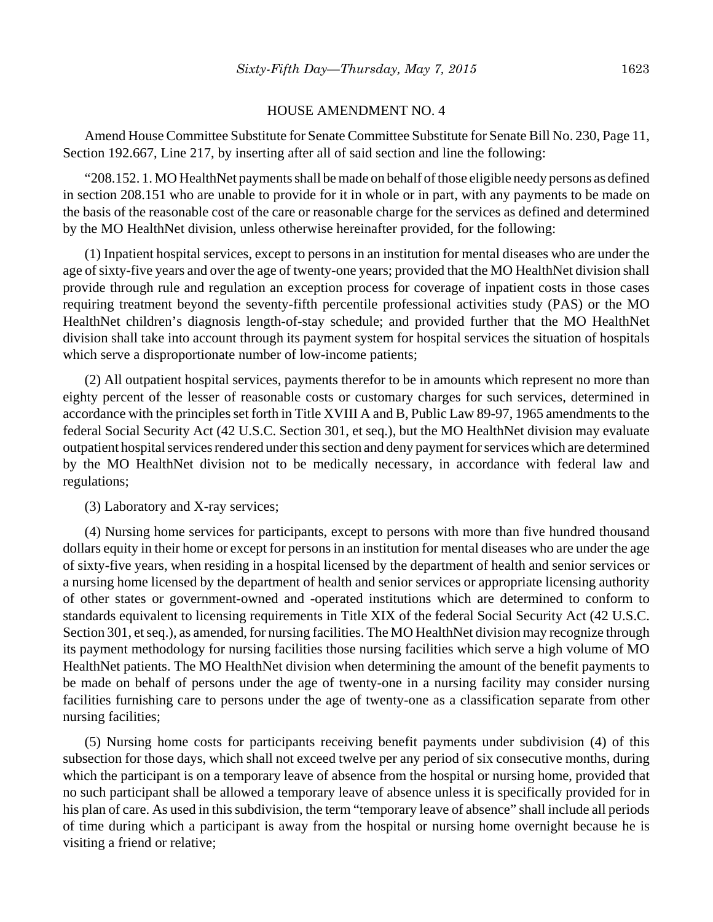#### HOUSE AMENDMENT NO. 4

Amend House Committee Substitute for Senate Committee Substitute for Senate Bill No. 230, Page 11, Section 192.667, Line 217, by inserting after all of said section and line the following:

"208.152. 1. MO HealthNet payments shall be made on behalf of those eligible needy persons as defined in section 208.151 who are unable to provide for it in whole or in part, with any payments to be made on the basis of the reasonable cost of the care or reasonable charge for the services as defined and determined by the MO HealthNet division, unless otherwise hereinafter provided, for the following:

(1) Inpatient hospital services, except to persons in an institution for mental diseases who are under the age of sixty-five years and over the age of twenty-one years; provided that the MO HealthNet division shall provide through rule and regulation an exception process for coverage of inpatient costs in those cases requiring treatment beyond the seventy-fifth percentile professional activities study (PAS) or the MO HealthNet children's diagnosis length-of-stay schedule; and provided further that the MO HealthNet division shall take into account through its payment system for hospital services the situation of hospitals which serve a disproportionate number of low-income patients;

(2) All outpatient hospital services, payments therefor to be in amounts which represent no more than eighty percent of the lesser of reasonable costs or customary charges for such services, determined in accordance with the principles set forth in Title XVIII A and B, Public Law 89-97, 1965 amendments to the federal Social Security Act (42 U.S.C. Section 301, et seq.), but the MO HealthNet division may evaluate outpatient hospital services rendered under this section and deny payment for services which are determined by the MO HealthNet division not to be medically necessary, in accordance with federal law and regulations;

(3) Laboratory and X-ray services;

(4) Nursing home services for participants, except to persons with more than five hundred thousand dollars equity in their home or except for persons in an institution for mental diseases who are under the age of sixty-five years, when residing in a hospital licensed by the department of health and senior services or a nursing home licensed by the department of health and senior services or appropriate licensing authority of other states or government-owned and -operated institutions which are determined to conform to standards equivalent to licensing requirements in Title XIX of the federal Social Security Act (42 U.S.C. Section 301, et seq.), as amended, for nursing facilities. The MO HealthNet division may recognize through its payment methodology for nursing facilities those nursing facilities which serve a high volume of MO HealthNet patients. The MO HealthNet division when determining the amount of the benefit payments to be made on behalf of persons under the age of twenty-one in a nursing facility may consider nursing facilities furnishing care to persons under the age of twenty-one as a classification separate from other nursing facilities;

(5) Nursing home costs for participants receiving benefit payments under subdivision (4) of this subsection for those days, which shall not exceed twelve per any period of six consecutive months, during which the participant is on a temporary leave of absence from the hospital or nursing home, provided that no such participant shall be allowed a temporary leave of absence unless it is specifically provided for in his plan of care. As used in this subdivision, the term "temporary leave of absence" shall include all periods of time during which a participant is away from the hospital or nursing home overnight because he is visiting a friend or relative;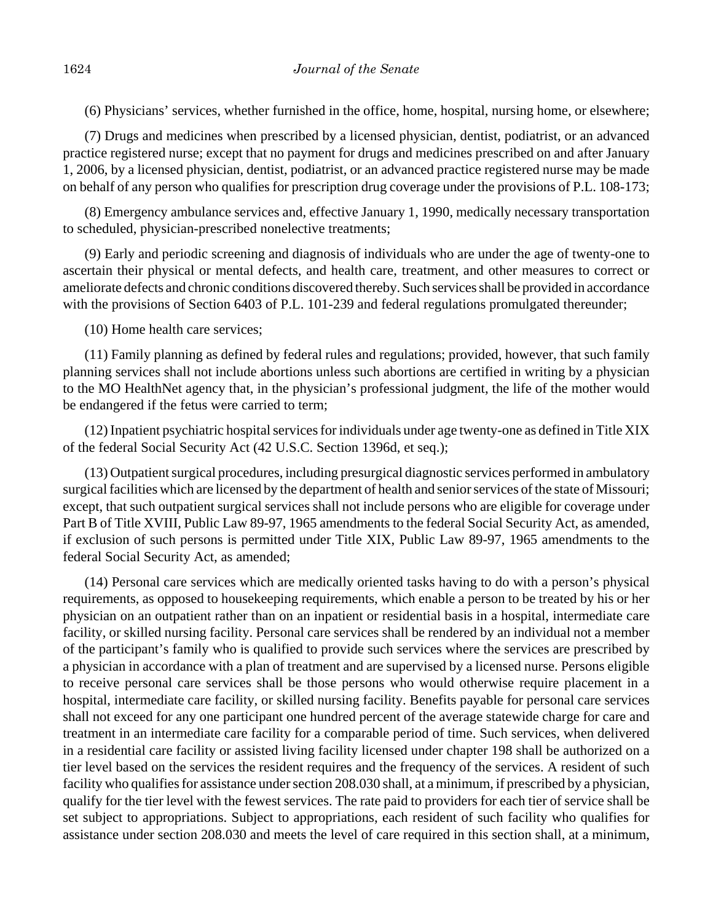(6) Physicians' services, whether furnished in the office, home, hospital, nursing home, or elsewhere;

(7) Drugs and medicines when prescribed by a licensed physician, dentist, podiatrist, or an advanced practice registered nurse; except that no payment for drugs and medicines prescribed on and after January 1, 2006, by a licensed physician, dentist, podiatrist, or an advanced practice registered nurse may be made on behalf of any person who qualifies for prescription drug coverage under the provisions of P.L. 108-173;

(8) Emergency ambulance services and, effective January 1, 1990, medically necessary transportation to scheduled, physician-prescribed nonelective treatments;

(9) Early and periodic screening and diagnosis of individuals who are under the age of twenty-one to ascertain their physical or mental defects, and health care, treatment, and other measures to correct or ameliorate defects and chronic conditions discovered thereby. Such services shall be provided in accordance with the provisions of Section 6403 of P.L. 101-239 and federal regulations promulgated thereunder;

(10) Home health care services;

(11) Family planning as defined by federal rules and regulations; provided, however, that such family planning services shall not include abortions unless such abortions are certified in writing by a physician to the MO HealthNet agency that, in the physician's professional judgment, the life of the mother would be endangered if the fetus were carried to term;

(12) Inpatient psychiatric hospital services for individuals under age twenty-one as defined in Title XIX of the federal Social Security Act (42 U.S.C. Section 1396d, et seq.);

(13) Outpatient surgical procedures, including presurgical diagnostic services performed in ambulatory surgical facilities which are licensed by the department of health and senior services of the state of Missouri; except, that such outpatient surgical services shall not include persons who are eligible for coverage under Part B of Title XVIII, Public Law 89-97, 1965 amendments to the federal Social Security Act, as amended, if exclusion of such persons is permitted under Title XIX, Public Law 89-97, 1965 amendments to the federal Social Security Act, as amended;

(14) Personal care services which are medically oriented tasks having to do with a person's physical requirements, as opposed to housekeeping requirements, which enable a person to be treated by his or her physician on an outpatient rather than on an inpatient or residential basis in a hospital, intermediate care facility, or skilled nursing facility. Personal care services shall be rendered by an individual not a member of the participant's family who is qualified to provide such services where the services are prescribed by a physician in accordance with a plan of treatment and are supervised by a licensed nurse. Persons eligible to receive personal care services shall be those persons who would otherwise require placement in a hospital, intermediate care facility, or skilled nursing facility. Benefits payable for personal care services shall not exceed for any one participant one hundred percent of the average statewide charge for care and treatment in an intermediate care facility for a comparable period of time. Such services, when delivered in a residential care facility or assisted living facility licensed under chapter 198 shall be authorized on a tier level based on the services the resident requires and the frequency of the services. A resident of such facility who qualifies for assistance under section 208.030 shall, at a minimum, if prescribed by a physician, qualify for the tier level with the fewest services. The rate paid to providers for each tier of service shall be set subject to appropriations. Subject to appropriations, each resident of such facility who qualifies for assistance under section 208.030 and meets the level of care required in this section shall, at a minimum,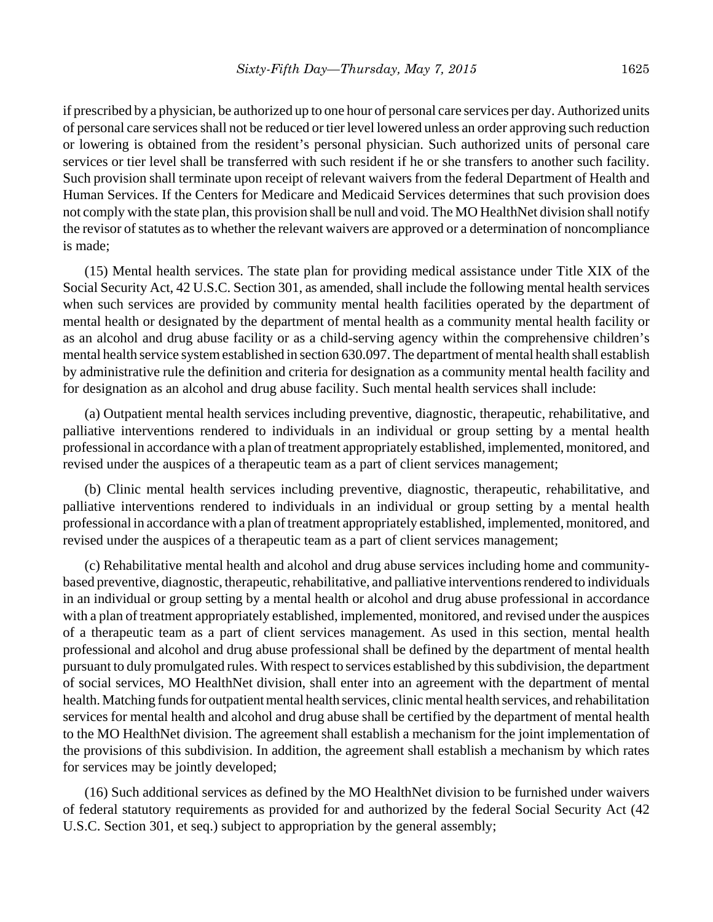if prescribed by a physician, be authorized up to one hour of personal care services per day. Authorized units of personal care services shall not be reduced or tier level lowered unless an order approving such reduction or lowering is obtained from the resident's personal physician. Such authorized units of personal care services or tier level shall be transferred with such resident if he or she transfers to another such facility. Such provision shall terminate upon receipt of relevant waivers from the federal Department of Health and Human Services. If the Centers for Medicare and Medicaid Services determines that such provision does not comply with the state plan, this provision shall be null and void. The MO HealthNet division shall notify the revisor of statutes as to whether the relevant waivers are approved or a determination of noncompliance is made;

(15) Mental health services. The state plan for providing medical assistance under Title XIX of the Social Security Act, 42 U.S.C. Section 301, as amended, shall include the following mental health services when such services are provided by community mental health facilities operated by the department of mental health or designated by the department of mental health as a community mental health facility or as an alcohol and drug abuse facility or as a child-serving agency within the comprehensive children's mental health service system established in section 630.097. The department of mental health shall establish by administrative rule the definition and criteria for designation as a community mental health facility and for designation as an alcohol and drug abuse facility. Such mental health services shall include:

(a) Outpatient mental health services including preventive, diagnostic, therapeutic, rehabilitative, and palliative interventions rendered to individuals in an individual or group setting by a mental health professional in accordance with a plan of treatment appropriately established, implemented, monitored, and revised under the auspices of a therapeutic team as a part of client services management;

(b) Clinic mental health services including preventive, diagnostic, therapeutic, rehabilitative, and palliative interventions rendered to individuals in an individual or group setting by a mental health professional in accordance with a plan of treatment appropriately established, implemented, monitored, and revised under the auspices of a therapeutic team as a part of client services management;

(c) Rehabilitative mental health and alcohol and drug abuse services including home and communitybased preventive, diagnostic, therapeutic, rehabilitative, and palliative interventions rendered to individuals in an individual or group setting by a mental health or alcohol and drug abuse professional in accordance with a plan of treatment appropriately established, implemented, monitored, and revised under the auspices of a therapeutic team as a part of client services management. As used in this section, mental health professional and alcohol and drug abuse professional shall be defined by the department of mental health pursuant to duly promulgated rules. With respect to services established by this subdivision, the department of social services, MO HealthNet division, shall enter into an agreement with the department of mental health. Matching funds for outpatient mental health services, clinic mental health services, and rehabilitation services for mental health and alcohol and drug abuse shall be certified by the department of mental health to the MO HealthNet division. The agreement shall establish a mechanism for the joint implementation of the provisions of this subdivision. In addition, the agreement shall establish a mechanism by which rates for services may be jointly developed;

(16) Such additional services as defined by the MO HealthNet division to be furnished under waivers of federal statutory requirements as provided for and authorized by the federal Social Security Act (42 U.S.C. Section 301, et seq.) subject to appropriation by the general assembly;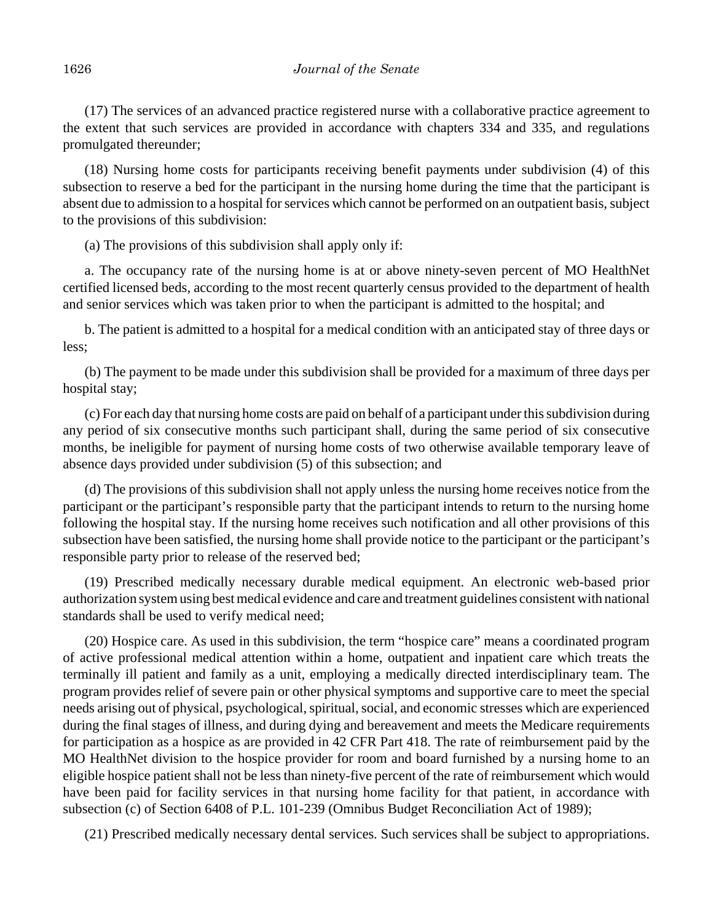(17) The services of an advanced practice registered nurse with a collaborative practice agreement to the extent that such services are provided in accordance with chapters 334 and 335, and regulations promulgated thereunder;

(18) Nursing home costs for participants receiving benefit payments under subdivision (4) of this subsection to reserve a bed for the participant in the nursing home during the time that the participant is absent due to admission to a hospital for services which cannot be performed on an outpatient basis, subject to the provisions of this subdivision:

(a) The provisions of this subdivision shall apply only if:

a. The occupancy rate of the nursing home is at or above ninety-seven percent of MO HealthNet certified licensed beds, according to the most recent quarterly census provided to the department of health and senior services which was taken prior to when the participant is admitted to the hospital; and

b. The patient is admitted to a hospital for a medical condition with an anticipated stay of three days or less;

(b) The payment to be made under this subdivision shall be provided for a maximum of three days per hospital stay;

(c) For each day that nursing home costs are paid on behalf of a participant under this subdivision during any period of six consecutive months such participant shall, during the same period of six consecutive months, be ineligible for payment of nursing home costs of two otherwise available temporary leave of absence days provided under subdivision (5) of this subsection; and

(d) The provisions of this subdivision shall not apply unless the nursing home receives notice from the participant or the participant's responsible party that the participant intends to return to the nursing home following the hospital stay. If the nursing home receives such notification and all other provisions of this subsection have been satisfied, the nursing home shall provide notice to the participant or the participant's responsible party prior to release of the reserved bed;

(19) Prescribed medically necessary durable medical equipment. An electronic web-based prior authorization system using best medical evidence and care and treatment guidelines consistent with national standards shall be used to verify medical need;

(20) Hospice care. As used in this subdivision, the term "hospice care" means a coordinated program of active professional medical attention within a home, outpatient and inpatient care which treats the terminally ill patient and family as a unit, employing a medically directed interdisciplinary team. The program provides relief of severe pain or other physical symptoms and supportive care to meet the special needs arising out of physical, psychological, spiritual, social, and economic stresses which are experienced during the final stages of illness, and during dying and bereavement and meets the Medicare requirements for participation as a hospice as are provided in 42 CFR Part 418. The rate of reimbursement paid by the MO HealthNet division to the hospice provider for room and board furnished by a nursing home to an eligible hospice patient shall not be less than ninety-five percent of the rate of reimbursement which would have been paid for facility services in that nursing home facility for that patient, in accordance with subsection (c) of Section 6408 of P.L. 101-239 (Omnibus Budget Reconciliation Act of 1989);

(21) Prescribed medically necessary dental services. Such services shall be subject to appropriations.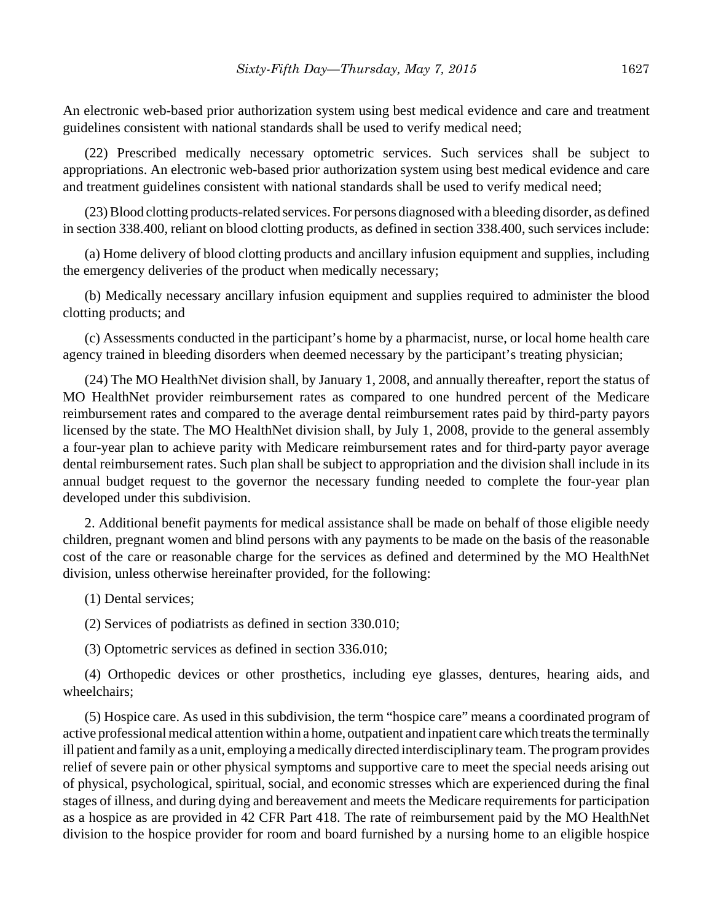An electronic web-based prior authorization system using best medical evidence and care and treatment guidelines consistent with national standards shall be used to verify medical need;

(22) Prescribed medically necessary optometric services. Such services shall be subject to appropriations. An electronic web-based prior authorization system using best medical evidence and care and treatment guidelines consistent with national standards shall be used to verify medical need;

(23) Blood clotting products-related services. For persons diagnosed with a bleeding disorder, as defined in section 338.400, reliant on blood clotting products, as defined in section 338.400, such services include:

(a) Home delivery of blood clotting products and ancillary infusion equipment and supplies, including the emergency deliveries of the product when medically necessary;

(b) Medically necessary ancillary infusion equipment and supplies required to administer the blood clotting products; and

(c) Assessments conducted in the participant's home by a pharmacist, nurse, or local home health care agency trained in bleeding disorders when deemed necessary by the participant's treating physician;

(24) The MO HealthNet division shall, by January 1, 2008, and annually thereafter, report the status of MO HealthNet provider reimbursement rates as compared to one hundred percent of the Medicare reimbursement rates and compared to the average dental reimbursement rates paid by third-party payors licensed by the state. The MO HealthNet division shall, by July 1, 2008, provide to the general assembly a four-year plan to achieve parity with Medicare reimbursement rates and for third-party payor average dental reimbursement rates. Such plan shall be subject to appropriation and the division shall include in its annual budget request to the governor the necessary funding needed to complete the four-year plan developed under this subdivision.

2. Additional benefit payments for medical assistance shall be made on behalf of those eligible needy children, pregnant women and blind persons with any payments to be made on the basis of the reasonable cost of the care or reasonable charge for the services as defined and determined by the MO HealthNet division, unless otherwise hereinafter provided, for the following:

(1) Dental services;

(2) Services of podiatrists as defined in section 330.010;

(3) Optometric services as defined in section 336.010;

(4) Orthopedic devices or other prosthetics, including eye glasses, dentures, hearing aids, and wheelchairs;

(5) Hospice care. As used in this subdivision, the term "hospice care" means a coordinated program of active professional medical attention within a home, outpatient and inpatient care which treats the terminally ill patient and family as a unit, employing a medically directed interdisciplinary team. The program provides relief of severe pain or other physical symptoms and supportive care to meet the special needs arising out of physical, psychological, spiritual, social, and economic stresses which are experienced during the final stages of illness, and during dying and bereavement and meets the Medicare requirements for participation as a hospice as are provided in 42 CFR Part 418. The rate of reimbursement paid by the MO HealthNet division to the hospice provider for room and board furnished by a nursing home to an eligible hospice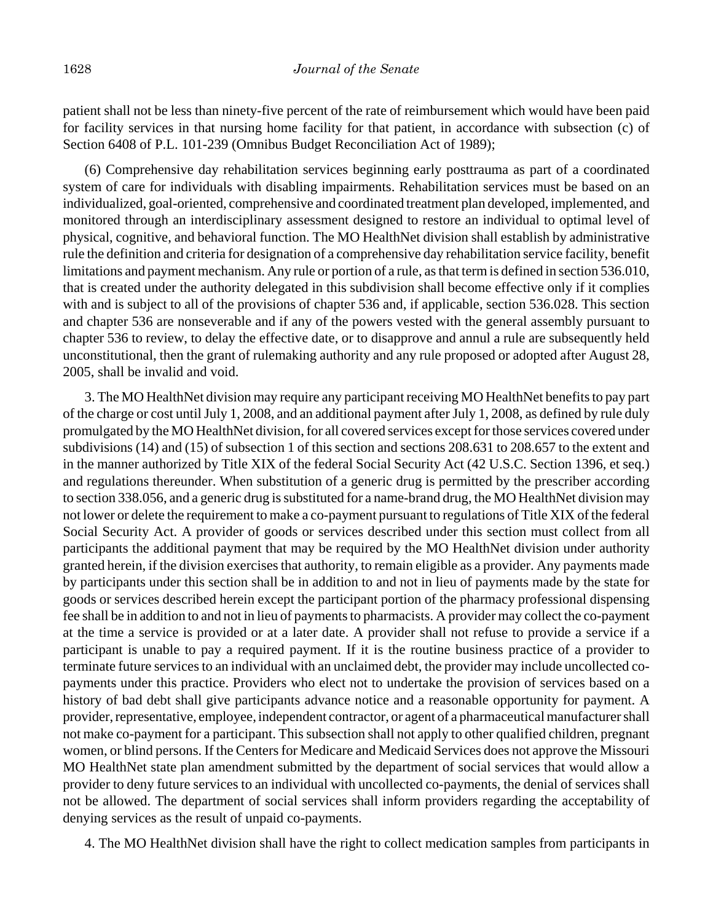patient shall not be less than ninety-five percent of the rate of reimbursement which would have been paid for facility services in that nursing home facility for that patient, in accordance with subsection (c) of Section 6408 of P.L. 101-239 (Omnibus Budget Reconciliation Act of 1989);

(6) Comprehensive day rehabilitation services beginning early posttrauma as part of a coordinated system of care for individuals with disabling impairments. Rehabilitation services must be based on an individualized, goal-oriented, comprehensive and coordinated treatment plan developed, implemented, and monitored through an interdisciplinary assessment designed to restore an individual to optimal level of physical, cognitive, and behavioral function. The MO HealthNet division shall establish by administrative rule the definition and criteria for designation of a comprehensive day rehabilitation service facility, benefit limitations and payment mechanism. Any rule or portion of a rule, as that term is defined in section 536.010, that is created under the authority delegated in this subdivision shall become effective only if it complies with and is subject to all of the provisions of chapter 536 and, if applicable, section 536.028. This section and chapter 536 are nonseverable and if any of the powers vested with the general assembly pursuant to chapter 536 to review, to delay the effective date, or to disapprove and annul a rule are subsequently held unconstitutional, then the grant of rulemaking authority and any rule proposed or adopted after August 28, 2005, shall be invalid and void.

3. The MO HealthNet division may require any participant receiving MO HealthNet benefits to pay part of the charge or cost until July 1, 2008, and an additional payment after July 1, 2008, as defined by rule duly promulgated by the MO HealthNet division, for all covered services except for those services covered under subdivisions (14) and (15) of subsection 1 of this section and sections 208.631 to 208.657 to the extent and in the manner authorized by Title XIX of the federal Social Security Act (42 U.S.C. Section 1396, et seq.) and regulations thereunder. When substitution of a generic drug is permitted by the prescriber according to section 338.056, and a generic drug is substituted for a name-brand drug, the MO HealthNet division may not lower or delete the requirement to make a co-payment pursuant to regulations of Title XIX of the federal Social Security Act. A provider of goods or services described under this section must collect from all participants the additional payment that may be required by the MO HealthNet division under authority granted herein, if the division exercises that authority, to remain eligible as a provider. Any payments made by participants under this section shall be in addition to and not in lieu of payments made by the state for goods or services described herein except the participant portion of the pharmacy professional dispensing fee shall be in addition to and not in lieu of payments to pharmacists. A provider may collect the co-payment at the time a service is provided or at a later date. A provider shall not refuse to provide a service if a participant is unable to pay a required payment. If it is the routine business practice of a provider to terminate future services to an individual with an unclaimed debt, the provider may include uncollected copayments under this practice. Providers who elect not to undertake the provision of services based on a history of bad debt shall give participants advance notice and a reasonable opportunity for payment. A provider, representative, employee, independent contractor, or agent of a pharmaceutical manufacturer shall not make co-payment for a participant. This subsection shall not apply to other qualified children, pregnant women, or blind persons. If the Centers for Medicare and Medicaid Services does not approve the Missouri MO HealthNet state plan amendment submitted by the department of social services that would allow a provider to deny future services to an individual with uncollected co-payments, the denial of services shall not be allowed. The department of social services shall inform providers regarding the acceptability of denying services as the result of unpaid co-payments.

4. The MO HealthNet division shall have the right to collect medication samples from participants in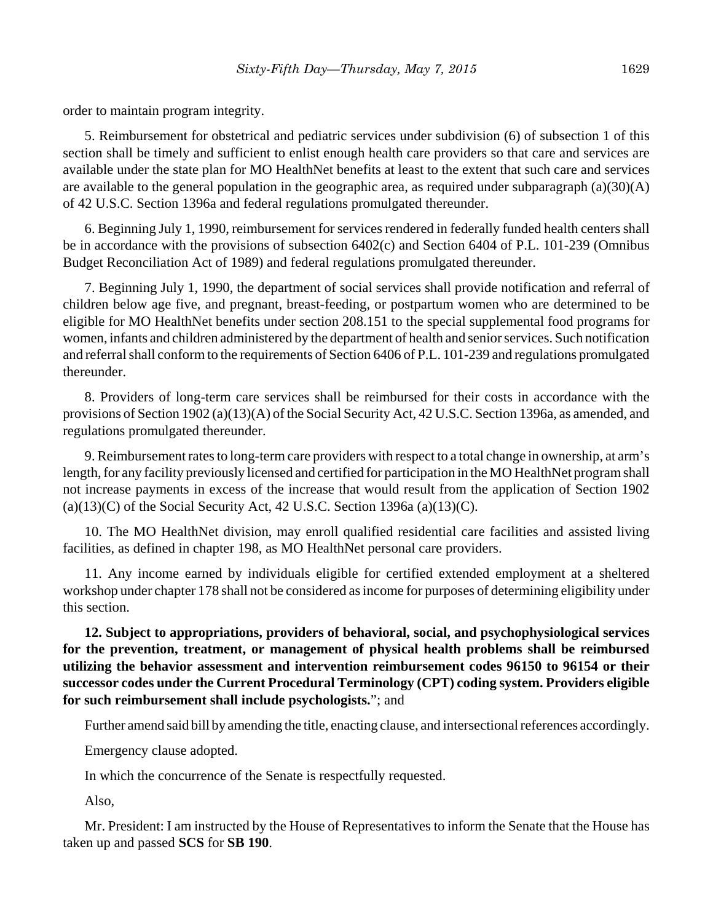order to maintain program integrity.

5. Reimbursement for obstetrical and pediatric services under subdivision (6) of subsection 1 of this section shall be timely and sufficient to enlist enough health care providers so that care and services are available under the state plan for MO HealthNet benefits at least to the extent that such care and services are available to the general population in the geographic area, as required under subparagraph  $(a)(30)(A)$ of 42 U.S.C. Section 1396a and federal regulations promulgated thereunder.

6. Beginning July 1, 1990, reimbursement for services rendered in federally funded health centers shall be in accordance with the provisions of subsection 6402(c) and Section 6404 of P.L. 101-239 (Omnibus Budget Reconciliation Act of 1989) and federal regulations promulgated thereunder.

7. Beginning July 1, 1990, the department of social services shall provide notification and referral of children below age five, and pregnant, breast-feeding, or postpartum women who are determined to be eligible for MO HealthNet benefits under section 208.151 to the special supplemental food programs for women, infants and children administered by the department of health and senior services. Such notification and referral shall conform to the requirements of Section 6406 of P.L. 101-239 and regulations promulgated thereunder.

8. Providers of long-term care services shall be reimbursed for their costs in accordance with the provisions of Section 1902 (a)(13)(A) of the Social Security Act, 42 U.S.C. Section 1396a, as amended, and regulations promulgated thereunder.

9. Reimbursement rates to long-term care providers with respect to a total change in ownership, at arm's length, for any facility previously licensed and certified for participation in the MO HealthNet program shall not increase payments in excess of the increase that would result from the application of Section 1902  $(a)(13)(C)$  of the Social Security Act, 42 U.S.C. Section 1396a  $(a)(13)(C)$ .

10. The MO HealthNet division, may enroll qualified residential care facilities and assisted living facilities, as defined in chapter 198, as MO HealthNet personal care providers.

11. Any income earned by individuals eligible for certified extended employment at a sheltered workshop under chapter 178 shall not be considered as income for purposes of determining eligibility under this section.

**12. Subject to appropriations, providers of behavioral, social, and psychophysiological services for the prevention, treatment, or management of physical health problems shall be reimbursed utilizing the behavior assessment and intervention reimbursement codes 96150 to 96154 or their successor codes under the Current Procedural Terminology (CPT) coding system. Providers eligible for such reimbursement shall include psychologists.**"; and

Further amend said bill by amending the title, enacting clause, and intersectional references accordingly.

Emergency clause adopted.

In which the concurrence of the Senate is respectfully requested.

Also,

Mr. President: I am instructed by the House of Representatives to inform the Senate that the House has taken up and passed **SCS** for **SB 190**.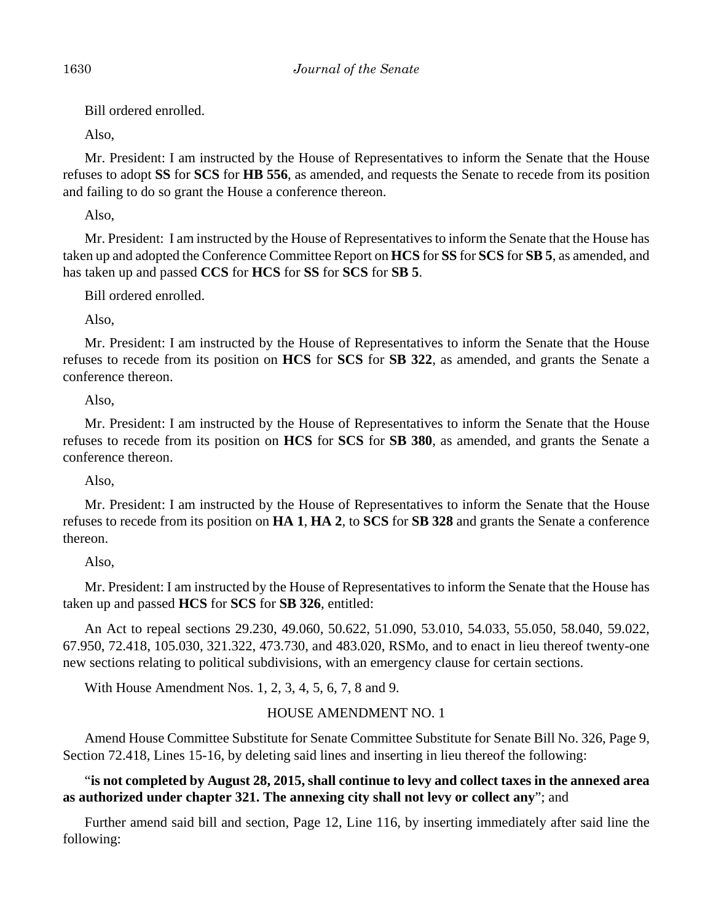Bill ordered enrolled.

Also,

Mr. President: I am instructed by the House of Representatives to inform the Senate that the House refuses to adopt **SS** for **SCS** for **HB 556**, as amended, and requests the Senate to recede from its position and failing to do so grant the House a conference thereon.

Also,

Mr. President: I am instructed by the House of Representatives to inform the Senate that the House has taken up and adopted the Conference Committee Report on **HCS** for **SS** for **SCS** for **SB 5**, as amended, and has taken up and passed **CCS** for **HCS** for **SS** for **SCS** for **SB 5**.

Bill ordered enrolled.

Also,

Mr. President: I am instructed by the House of Representatives to inform the Senate that the House refuses to recede from its position on **HCS** for **SCS** for **SB 322**, as amended, and grants the Senate a conference thereon.

# Also,

Mr. President: I am instructed by the House of Representatives to inform the Senate that the House refuses to recede from its position on **HCS** for **SCS** for **SB 380**, as amended, and grants the Senate a conference thereon.

Also,

Mr. President: I am instructed by the House of Representatives to inform the Senate that the House refuses to recede from its position on **HA 1**, **HA 2**, to **SCS** for **SB 328** and grants the Senate a conference thereon.

Also,

Mr. President: I am instructed by the House of Representatives to inform the Senate that the House has taken up and passed **HCS** for **SCS** for **SB 326**, entitled:

An Act to repeal sections 29.230, 49.060, 50.622, 51.090, 53.010, 54.033, 55.050, 58.040, 59.022, 67.950, 72.418, 105.030, 321.322, 473.730, and 483.020, RSMo, and to enact in lieu thereof twenty-one new sections relating to political subdivisions, with an emergency clause for certain sections.

With House Amendment Nos. 1, 2, 3, 4, 5, 6, 7, 8 and 9.

# HOUSE AMENDMENT NO. 1

Amend House Committee Substitute for Senate Committee Substitute for Senate Bill No. 326, Page 9, Section 72.418, Lines 15-16, by deleting said lines and inserting in lieu thereof the following:

"**is not completed by August 28, 2015, shall continue to levy and collect taxes in the annexed area as authorized under chapter 321. The annexing city shall not levy or collect any**"; and

Further amend said bill and section, Page 12, Line 116, by inserting immediately after said line the following: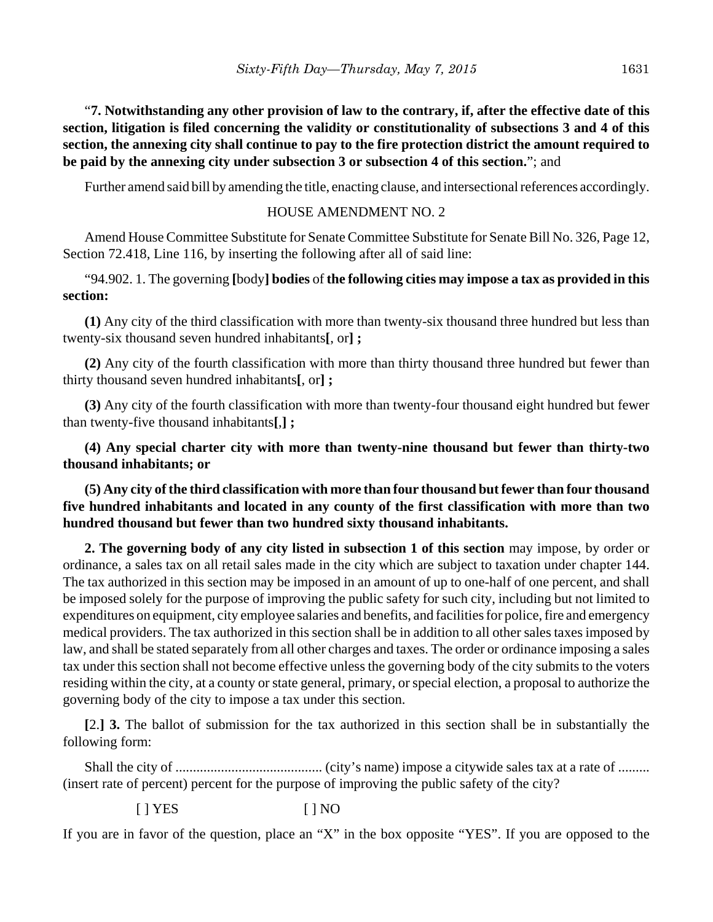"**7. Notwithstanding any other provision of law to the contrary, if, after the effective date of this section, litigation is filed concerning the validity or constitutionality of subsections 3 and 4 of this section, the annexing city shall continue to pay to the fire protection district the amount required to be paid by the annexing city under subsection 3 or subsection 4 of this section.**"; and

Further amend said bill by amending the title, enacting clause, and intersectional references accordingly.

## HOUSE AMENDMENT NO. 2

Amend House Committee Substitute for Senate Committee Substitute for Senate Bill No. 326, Page 12, Section 72.418, Line 116, by inserting the following after all of said line:

"94.902. 1. The governing **[**body**] bodies** of **the following cities may impose a tax as provided in this section:**

**(1)** Any city of the third classification with more than twenty-six thousand three hundred but less than twenty-six thousand seven hundred inhabitants**[**, or**] ;**

**(2)** Any city of the fourth classification with more than thirty thousand three hundred but fewer than thirty thousand seven hundred inhabitants**[**, or**] ;**

**(3)** Any city of the fourth classification with more than twenty-four thousand eight hundred but fewer than twenty-five thousand inhabitants**[**,**] ;**

**(4) Any special charter city with more than twenty-nine thousand but fewer than thirty-two thousand inhabitants; or**

**(5) Any city of the third classification with more than four thousand but fewer than four thousand five hundred inhabitants and located in any county of the first classification with more than two hundred thousand but fewer than two hundred sixty thousand inhabitants.**

**2. The governing body of any city listed in subsection 1 of this section** may impose, by order or ordinance, a sales tax on all retail sales made in the city which are subject to taxation under chapter 144. The tax authorized in this section may be imposed in an amount of up to one-half of one percent, and shall be imposed solely for the purpose of improving the public safety for such city, including but not limited to expenditures on equipment, city employee salaries and benefits, and facilities for police, fire and emergency medical providers. The tax authorized in this section shall be in addition to all other sales taxes imposed by law, and shall be stated separately from all other charges and taxes. The order or ordinance imposing a sales tax under this section shall not become effective unless the governing body of the city submits to the voters residing within the city, at a county or state general, primary, or special election, a proposal to authorize the governing body of the city to impose a tax under this section.

**[**2.**] 3.** The ballot of submission for the tax authorized in this section shall be in substantially the following form:

Shall the city of .......................................... (city's name) impose a citywide sales tax at a rate of ......... (insert rate of percent) percent for the purpose of improving the public safety of the city?

[ ] YES [ ] NO

If you are in favor of the question, place an "X" in the box opposite "YES". If you are opposed to the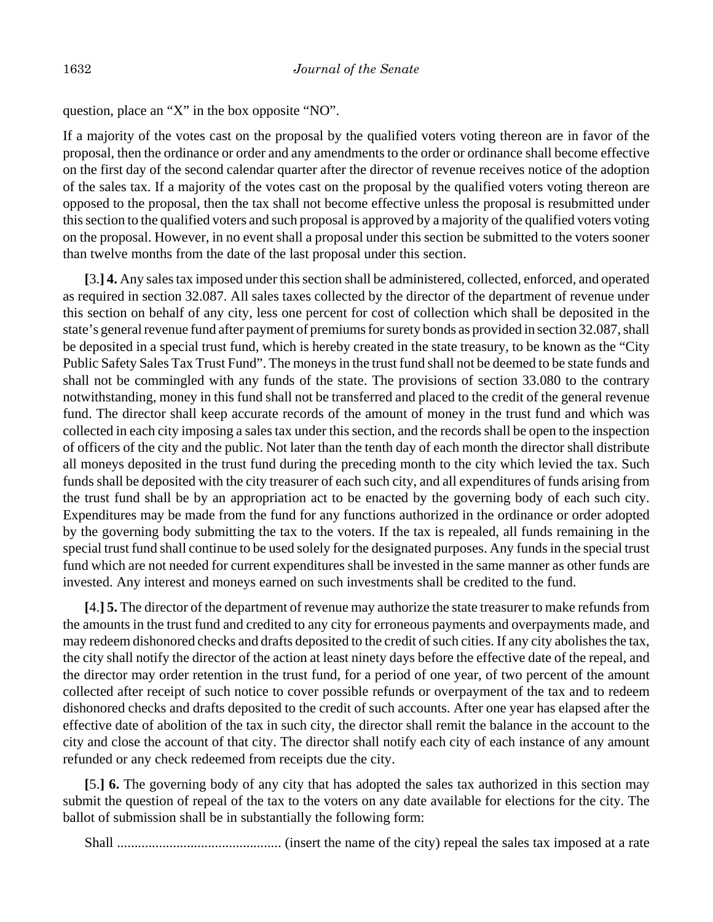question, place an "X" in the box opposite "NO".

If a majority of the votes cast on the proposal by the qualified voters voting thereon are in favor of the proposal, then the ordinance or order and any amendments to the order or ordinance shall become effective on the first day of the second calendar quarter after the director of revenue receives notice of the adoption of the sales tax. If a majority of the votes cast on the proposal by the qualified voters voting thereon are opposed to the proposal, then the tax shall not become effective unless the proposal is resubmitted under this section to the qualified voters and such proposal is approved by a majority of the qualified voters voting on the proposal. However, in no event shall a proposal under this section be submitted to the voters sooner than twelve months from the date of the last proposal under this section.

**[**3.**] 4.** Any sales tax imposed under this section shall be administered, collected, enforced, and operated as required in section 32.087. All sales taxes collected by the director of the department of revenue under this section on behalf of any city, less one percent for cost of collection which shall be deposited in the state's general revenue fund after payment of premiums for surety bonds as provided in section 32.087, shall be deposited in a special trust fund, which is hereby created in the state treasury, to be known as the "City Public Safety Sales Tax Trust Fund". The moneys in the trust fund shall not be deemed to be state funds and shall not be commingled with any funds of the state. The provisions of section 33.080 to the contrary notwithstanding, money in this fund shall not be transferred and placed to the credit of the general revenue fund. The director shall keep accurate records of the amount of money in the trust fund and which was collected in each city imposing a sales tax under this section, and the records shall be open to the inspection of officers of the city and the public. Not later than the tenth day of each month the director shall distribute all moneys deposited in the trust fund during the preceding month to the city which levied the tax. Such funds shall be deposited with the city treasurer of each such city, and all expenditures of funds arising from the trust fund shall be by an appropriation act to be enacted by the governing body of each such city. Expenditures may be made from the fund for any functions authorized in the ordinance or order adopted by the governing body submitting the tax to the voters. If the tax is repealed, all funds remaining in the special trust fund shall continue to be used solely for the designated purposes. Any funds in the special trust fund which are not needed for current expenditures shall be invested in the same manner as other funds are invested. Any interest and moneys earned on such investments shall be credited to the fund.

**[**4.**] 5.** The director of the department of revenue may authorize the state treasurer to make refunds from the amounts in the trust fund and credited to any city for erroneous payments and overpayments made, and may redeem dishonored checks and drafts deposited to the credit of such cities. If any city abolishes the tax, the city shall notify the director of the action at least ninety days before the effective date of the repeal, and the director may order retention in the trust fund, for a period of one year, of two percent of the amount collected after receipt of such notice to cover possible refunds or overpayment of the tax and to redeem dishonored checks and drafts deposited to the credit of such accounts. After one year has elapsed after the effective date of abolition of the tax in such city, the director shall remit the balance in the account to the city and close the account of that city. The director shall notify each city of each instance of any amount refunded or any check redeemed from receipts due the city.

**[**5.**] 6.** The governing body of any city that has adopted the sales tax authorized in this section may submit the question of repeal of the tax to the voters on any date available for elections for the city. The ballot of submission shall be in substantially the following form:

Shall ............................................... (insert the name of the city) repeal the sales tax imposed at a rate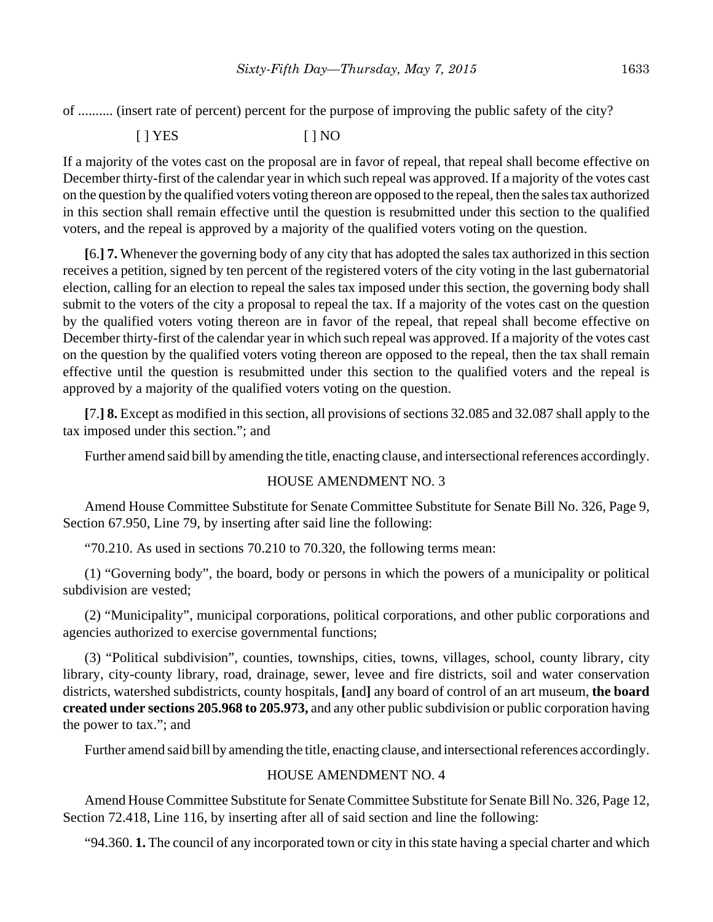of .......... (insert rate of percent) percent for the purpose of improving the public safety of the city?

[ ] YES [ ] NO

If a majority of the votes cast on the proposal are in favor of repeal, that repeal shall become effective on December thirty-first of the calendar year in which such repeal was approved. If a majority of the votes cast on the question by the qualified voters voting thereon are opposed to the repeal, then the sales tax authorized in this section shall remain effective until the question is resubmitted under this section to the qualified voters, and the repeal is approved by a majority of the qualified voters voting on the question.

**[**6.**] 7.** Whenever the governing body of any city that has adopted the sales tax authorized in this section receives a petition, signed by ten percent of the registered voters of the city voting in the last gubernatorial election, calling for an election to repeal the sales tax imposed under this section, the governing body shall submit to the voters of the city a proposal to repeal the tax. If a majority of the votes cast on the question by the qualified voters voting thereon are in favor of the repeal, that repeal shall become effective on December thirty-first of the calendar year in which such repeal was approved. If a majority of the votes cast on the question by the qualified voters voting thereon are opposed to the repeal, then the tax shall remain effective until the question is resubmitted under this section to the qualified voters and the repeal is approved by a majority of the qualified voters voting on the question.

**[**7.**] 8.** Except as modified in this section, all provisions of sections 32.085 and 32.087 shall apply to the tax imposed under this section."; and

Further amend said bill by amending the title, enacting clause, and intersectional references accordingly.

## HOUSE AMENDMENT NO. 3

Amend House Committee Substitute for Senate Committee Substitute for Senate Bill No. 326, Page 9, Section 67.950, Line 79, by inserting after said line the following:

"70.210. As used in sections 70.210 to 70.320, the following terms mean:

(1) "Governing body", the board, body or persons in which the powers of a municipality or political subdivision are vested;

(2) "Municipality", municipal corporations, political corporations, and other public corporations and agencies authorized to exercise governmental functions;

(3) "Political subdivision", counties, townships, cities, towns, villages, school, county library, city library, city-county library, road, drainage, sewer, levee and fire districts, soil and water conservation districts, watershed subdistricts, county hospitals, **[**and**]** any board of control of an art museum, **the board created under sections 205.968 to 205.973,** and any other public subdivision or public corporation having the power to tax."; and

Further amend said bill by amending the title, enacting clause, and intersectional references accordingly.

# HOUSE AMENDMENT NO. 4

Amend House Committee Substitute for Senate Committee Substitute for Senate Bill No. 326, Page 12, Section 72.418, Line 116, by inserting after all of said section and line the following:

"94.360. **1.** The council of any incorporated town or city in this state having a special charter and which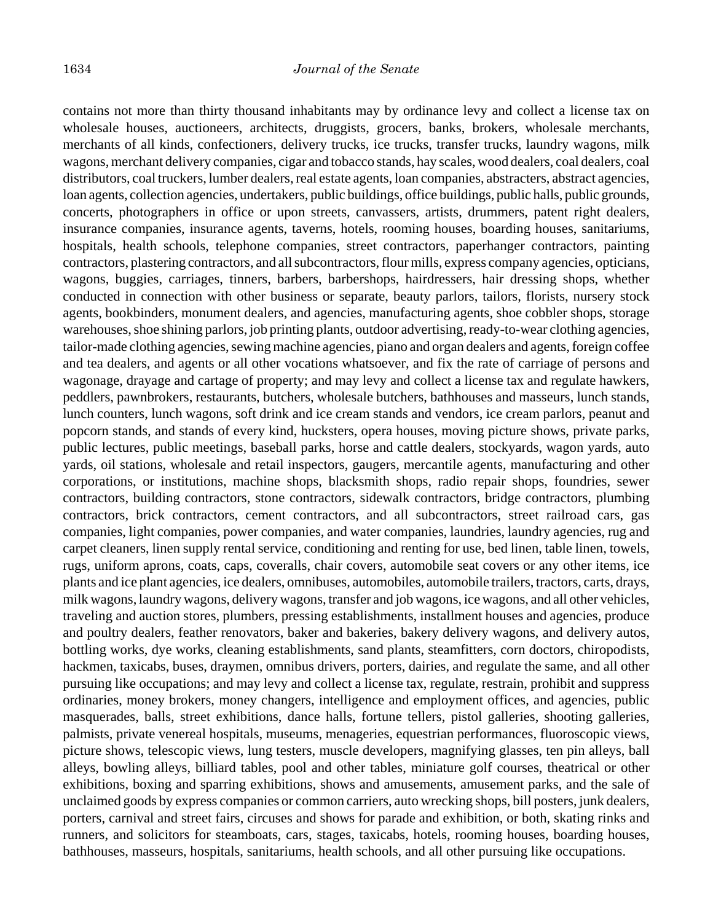contains not more than thirty thousand inhabitants may by ordinance levy and collect a license tax on wholesale houses, auctioneers, architects, druggists, grocers, banks, brokers, wholesale merchants, merchants of all kinds, confectioners, delivery trucks, ice trucks, transfer trucks, laundry wagons, milk wagons, merchant delivery companies, cigar and tobacco stands, hay scales, wood dealers, coal dealers, coal distributors, coal truckers, lumber dealers, real estate agents, loan companies, abstracters, abstract agencies, loan agents, collection agencies, undertakers, public buildings, office buildings, public halls, public grounds, concerts, photographers in office or upon streets, canvassers, artists, drummers, patent right dealers, insurance companies, insurance agents, taverns, hotels, rooming houses, boarding houses, sanitariums, hospitals, health schools, telephone companies, street contractors, paperhanger contractors, painting contractors, plastering contractors, and all subcontractors, flour mills, express company agencies, opticians, wagons, buggies, carriages, tinners, barbers, barbershops, hairdressers, hair dressing shops, whether conducted in connection with other business or separate, beauty parlors, tailors, florists, nursery stock agents, bookbinders, monument dealers, and agencies, manufacturing agents, shoe cobbler shops, storage warehouses, shoe shining parlors, job printing plants, outdoor advertising, ready-to-wear clothing agencies, tailor-made clothing agencies, sewing machine agencies, piano and organ dealers and agents, foreign coffee and tea dealers, and agents or all other vocations whatsoever, and fix the rate of carriage of persons and wagonage, drayage and cartage of property; and may levy and collect a license tax and regulate hawkers, peddlers, pawnbrokers, restaurants, butchers, wholesale butchers, bathhouses and masseurs, lunch stands, lunch counters, lunch wagons, soft drink and ice cream stands and vendors, ice cream parlors, peanut and popcorn stands, and stands of every kind, hucksters, opera houses, moving picture shows, private parks, public lectures, public meetings, baseball parks, horse and cattle dealers, stockyards, wagon yards, auto yards, oil stations, wholesale and retail inspectors, gaugers, mercantile agents, manufacturing and other corporations, or institutions, machine shops, blacksmith shops, radio repair shops, foundries, sewer contractors, building contractors, stone contractors, sidewalk contractors, bridge contractors, plumbing contractors, brick contractors, cement contractors, and all subcontractors, street railroad cars, gas companies, light companies, power companies, and water companies, laundries, laundry agencies, rug and carpet cleaners, linen supply rental service, conditioning and renting for use, bed linen, table linen, towels, rugs, uniform aprons, coats, caps, coveralls, chair covers, automobile seat covers or any other items, ice plants and ice plant agencies, ice dealers, omnibuses, automobiles, automobile trailers, tractors, carts, drays, milk wagons, laundry wagons, delivery wagons, transfer and job wagons, ice wagons, and all other vehicles, traveling and auction stores, plumbers, pressing establishments, installment houses and agencies, produce and poultry dealers, feather renovators, baker and bakeries, bakery delivery wagons, and delivery autos, bottling works, dye works, cleaning establishments, sand plants, steamfitters, corn doctors, chiropodists, hackmen, taxicabs, buses, draymen, omnibus drivers, porters, dairies, and regulate the same, and all other pursuing like occupations; and may levy and collect a license tax, regulate, restrain, prohibit and suppress ordinaries, money brokers, money changers, intelligence and employment offices, and agencies, public masquerades, balls, street exhibitions, dance halls, fortune tellers, pistol galleries, shooting galleries, palmists, private venereal hospitals, museums, menageries, equestrian performances, fluoroscopic views, picture shows, telescopic views, lung testers, muscle developers, magnifying glasses, ten pin alleys, ball alleys, bowling alleys, billiard tables, pool and other tables, miniature golf courses, theatrical or other exhibitions, boxing and sparring exhibitions, shows and amusements, amusement parks, and the sale of unclaimed goods by express companies or common carriers, auto wrecking shops, bill posters, junk dealers, porters, carnival and street fairs, circuses and shows for parade and exhibition, or both, skating rinks and runners, and solicitors for steamboats, cars, stages, taxicabs, hotels, rooming houses, boarding houses, bathhouses, masseurs, hospitals, sanitariums, health schools, and all other pursuing like occupations.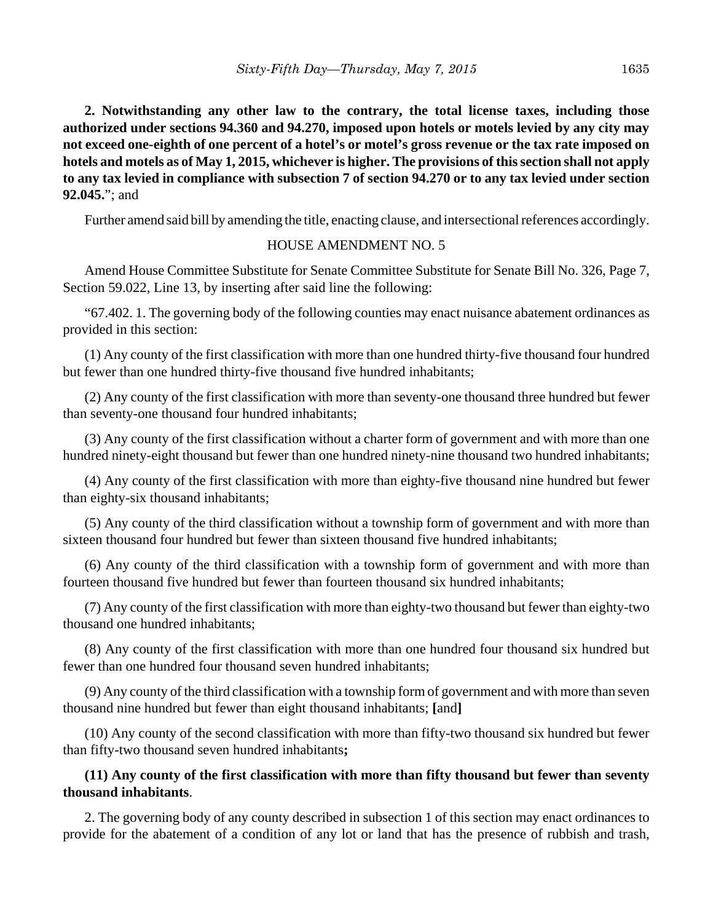**2. Notwithstanding any other law to the contrary, the total license taxes, including those authorized under sections 94.360 and 94.270, imposed upon hotels or motels levied by any city may not exceed one-eighth of one percent of a hotel's or motel's gross revenue or the tax rate imposed on hotels and motels as of May 1, 2015, whichever is higher. The provisions of this section shall not apply to any tax levied in compliance with subsection 7 of section 94.270 or to any tax levied under section 92.045.**"; and

Further amend said bill by amending the title, enacting clause, and intersectional references accordingly.

## HOUSE AMENDMENT NO. 5

Amend House Committee Substitute for Senate Committee Substitute for Senate Bill No. 326, Page 7, Section 59.022, Line 13, by inserting after said line the following:

"67.402. 1. The governing body of the following counties may enact nuisance abatement ordinances as provided in this section:

(1) Any county of the first classification with more than one hundred thirty-five thousand four hundred but fewer than one hundred thirty-five thousand five hundred inhabitants;

(2) Any county of the first classification with more than seventy-one thousand three hundred but fewer than seventy-one thousand four hundred inhabitants;

(3) Any county of the first classification without a charter form of government and with more than one hundred ninety-eight thousand but fewer than one hundred ninety-nine thousand two hundred inhabitants;

(4) Any county of the first classification with more than eighty-five thousand nine hundred but fewer than eighty-six thousand inhabitants;

(5) Any county of the third classification without a township form of government and with more than sixteen thousand four hundred but fewer than sixteen thousand five hundred inhabitants;

(6) Any county of the third classification with a township form of government and with more than fourteen thousand five hundred but fewer than fourteen thousand six hundred inhabitants;

(7) Any county of the first classification with more than eighty-two thousand but fewer than eighty-two thousand one hundred inhabitants;

(8) Any county of the first classification with more than one hundred four thousand six hundred but fewer than one hundred four thousand seven hundred inhabitants;

(9) Any county of the third classification with a township form of government and with more than seven thousand nine hundred but fewer than eight thousand inhabitants; **[**and**]**

(10) Any county of the second classification with more than fifty-two thousand six hundred but fewer than fifty-two thousand seven hundred inhabitants**;**

# **(11) Any county of the first classification with more than fifty thousand but fewer than seventy thousand inhabitants**.

2. The governing body of any county described in subsection 1 of this section may enact ordinances to provide for the abatement of a condition of any lot or land that has the presence of rubbish and trash,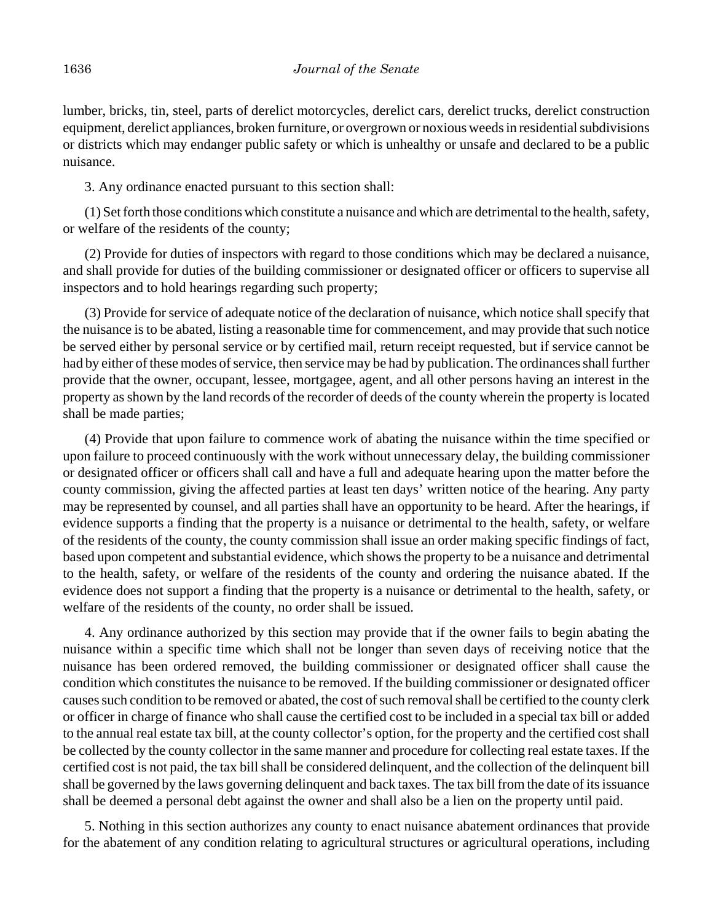lumber, bricks, tin, steel, parts of derelict motorcycles, derelict cars, derelict trucks, derelict construction equipment, derelict appliances, broken furniture, or overgrown or noxious weeds in residential subdivisions or districts which may endanger public safety or which is unhealthy or unsafe and declared to be a public nuisance.

3. Any ordinance enacted pursuant to this section shall:

(1) Set forth those conditions which constitute a nuisance and which are detrimental to the health, safety, or welfare of the residents of the county;

(2) Provide for duties of inspectors with regard to those conditions which may be declared a nuisance, and shall provide for duties of the building commissioner or designated officer or officers to supervise all inspectors and to hold hearings regarding such property;

(3) Provide for service of adequate notice of the declaration of nuisance, which notice shall specify that the nuisance is to be abated, listing a reasonable time for commencement, and may provide that such notice be served either by personal service or by certified mail, return receipt requested, but if service cannot be had by either of these modes of service, then service may be had by publication. The ordinances shall further provide that the owner, occupant, lessee, mortgagee, agent, and all other persons having an interest in the property as shown by the land records of the recorder of deeds of the county wherein the property is located shall be made parties;

(4) Provide that upon failure to commence work of abating the nuisance within the time specified or upon failure to proceed continuously with the work without unnecessary delay, the building commissioner or designated officer or officers shall call and have a full and adequate hearing upon the matter before the county commission, giving the affected parties at least ten days' written notice of the hearing. Any party may be represented by counsel, and all parties shall have an opportunity to be heard. After the hearings, if evidence supports a finding that the property is a nuisance or detrimental to the health, safety, or welfare of the residents of the county, the county commission shall issue an order making specific findings of fact, based upon competent and substantial evidence, which shows the property to be a nuisance and detrimental to the health, safety, or welfare of the residents of the county and ordering the nuisance abated. If the evidence does not support a finding that the property is a nuisance or detrimental to the health, safety, or welfare of the residents of the county, no order shall be issued.

4. Any ordinance authorized by this section may provide that if the owner fails to begin abating the nuisance within a specific time which shall not be longer than seven days of receiving notice that the nuisance has been ordered removed, the building commissioner or designated officer shall cause the condition which constitutes the nuisance to be removed. If the building commissioner or designated officer causes such condition to be removed or abated, the cost of such removal shall be certified to the county clerk or officer in charge of finance who shall cause the certified cost to be included in a special tax bill or added to the annual real estate tax bill, at the county collector's option, for the property and the certified cost shall be collected by the county collector in the same manner and procedure for collecting real estate taxes. If the certified cost is not paid, the tax bill shall be considered delinquent, and the collection of the delinquent bill shall be governed by the laws governing delinquent and back taxes. The tax bill from the date of its issuance shall be deemed a personal debt against the owner and shall also be a lien on the property until paid.

5. Nothing in this section authorizes any county to enact nuisance abatement ordinances that provide for the abatement of any condition relating to agricultural structures or agricultural operations, including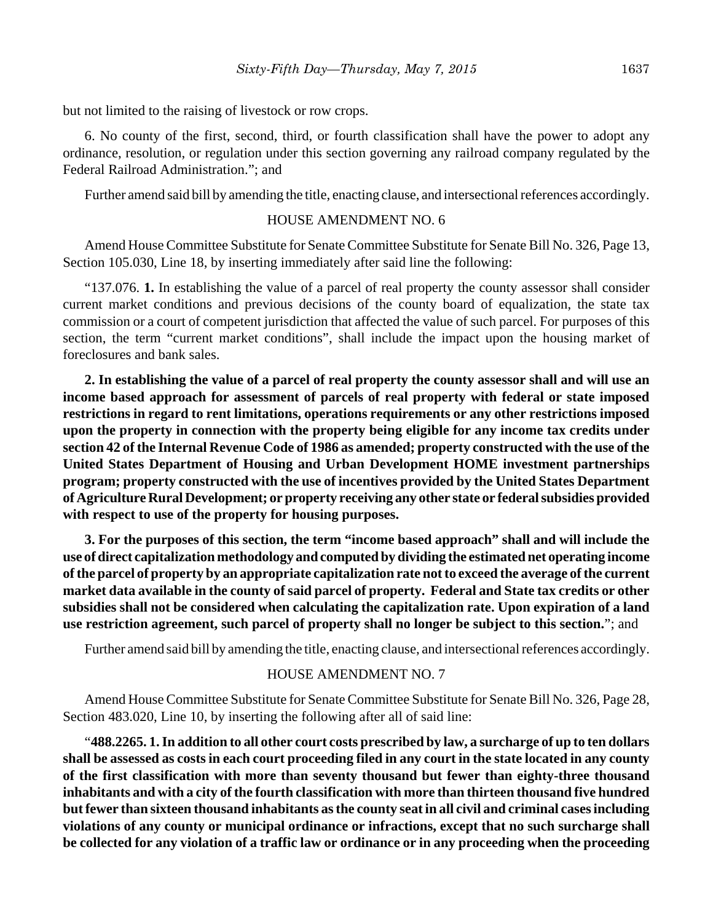but not limited to the raising of livestock or row crops.

6. No county of the first, second, third, or fourth classification shall have the power to adopt any ordinance, resolution, or regulation under this section governing any railroad company regulated by the Federal Railroad Administration."; and

Further amend said bill by amending the title, enacting clause, and intersectional references accordingly.

## HOUSE AMENDMENT NO. 6

Amend House Committee Substitute for Senate Committee Substitute for Senate Bill No. 326, Page 13, Section 105.030, Line 18, by inserting immediately after said line the following:

"137.076. **1.** In establishing the value of a parcel of real property the county assessor shall consider current market conditions and previous decisions of the county board of equalization, the state tax commission or a court of competent jurisdiction that affected the value of such parcel. For purposes of this section, the term "current market conditions", shall include the impact upon the housing market of foreclosures and bank sales.

**2. In establishing the value of a parcel of real property the county assessor shall and will use an income based approach for assessment of parcels of real property with federal or state imposed restrictions in regard to rent limitations, operations requirements or any other restrictions imposed upon the property in connection with the property being eligible for any income tax credits under section 42 of the Internal Revenue Code of 1986 as amended; property constructed with the use of the United States Department of Housing and Urban Development HOME investment partnerships program; property constructed with the use of incentives provided by the United States Department of Agriculture Rural Development; or property receiving any other state or federal subsidies provided with respect to use of the property for housing purposes.** 

**3. For the purposes of this section, the term "income based approach" shall and will include the use of direct capitalization methodology and computed by dividing the estimated net operating income of the parcel of property by an appropriate capitalization rate not to exceed the average of the current market data available in the county of said parcel of property. Federal and State tax credits or other subsidies shall not be considered when calculating the capitalization rate. Upon expiration of a land use restriction agreement, such parcel of property shall no longer be subject to this section.**"; and

Further amend said bill by amending the title, enacting clause, and intersectional references accordingly.

## HOUSE AMENDMENT NO. 7

Amend House Committee Substitute for Senate Committee Substitute for Senate Bill No. 326, Page 28, Section 483.020, Line 10, by inserting the following after all of said line:

"**488.2265. 1. In addition to all other court costs prescribed by law, a surcharge of up to ten dollars shall be assessed as costs in each court proceeding filed in any court in the state located in any county of the first classification with more than seventy thousand but fewer than eighty-three thousand inhabitants and with a city of the fourth classification with more than thirteen thousand five hundred but fewer than sixteen thousand inhabitants as the county seat in all civil and criminal cases including violations of any county or municipal ordinance or infractions, except that no such surcharge shall be collected for any violation of a traffic law or ordinance or in any proceeding when the proceeding**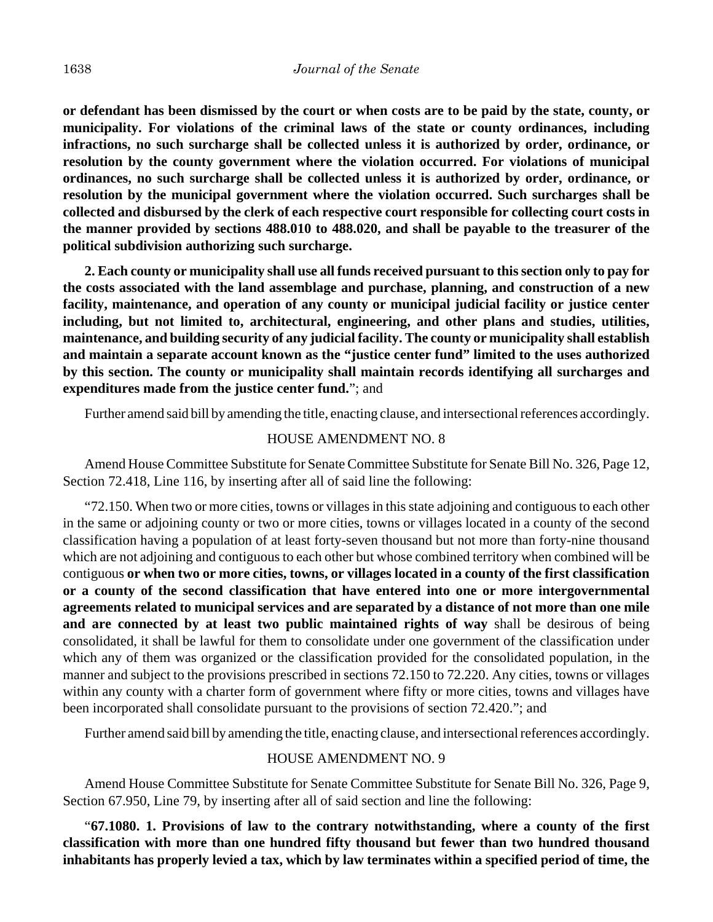**or defendant has been dismissed by the court or when costs are to be paid by the state, county, or municipality. For violations of the criminal laws of the state or county ordinances, including infractions, no such surcharge shall be collected unless it is authorized by order, ordinance, or resolution by the county government where the violation occurred. For violations of municipal ordinances, no such surcharge shall be collected unless it is authorized by order, ordinance, or resolution by the municipal government where the violation occurred. Such surcharges shall be collected and disbursed by the clerk of each respective court responsible for collecting court costs in the manner provided by sections 488.010 to 488.020, and shall be payable to the treasurer of the political subdivision authorizing such surcharge.**

**2. Each county or municipality shall use all funds received pursuant to this section only to pay for the costs associated with the land assemblage and purchase, planning, and construction of a new facility, maintenance, and operation of any county or municipal judicial facility or justice center including, but not limited to, architectural, engineering, and other plans and studies, utilities, maintenance, and building security of any judicial facility. The county or municipality shall establish and maintain a separate account known as the "justice center fund" limited to the uses authorized by this section. The county or municipality shall maintain records identifying all surcharges and expenditures made from the justice center fund.**"; and

Further amend said bill by amending the title, enacting clause, and intersectional references accordingly.

## HOUSE AMENDMENT NO. 8

Amend House Committee Substitute for Senate Committee Substitute for Senate Bill No. 326, Page 12, Section 72.418, Line 116, by inserting after all of said line the following:

"72.150. When two or more cities, towns or villages in this state adjoining and contiguous to each other in the same or adjoining county or two or more cities, towns or villages located in a county of the second classification having a population of at least forty-seven thousand but not more than forty-nine thousand which are not adjoining and contiguous to each other but whose combined territory when combined will be contiguous **or when two or more cities, towns, or villages located in a county of the first classification or a county of the second classification that have entered into one or more intergovernmental agreements related to municipal services and are separated by a distance of not more than one mile and are connected by at least two public maintained rights of way** shall be desirous of being consolidated, it shall be lawful for them to consolidate under one government of the classification under which any of them was organized or the classification provided for the consolidated population, in the manner and subject to the provisions prescribed in sections 72.150 to 72.220. Any cities, towns or villages within any county with a charter form of government where fifty or more cities, towns and villages have been incorporated shall consolidate pursuant to the provisions of section 72.420."; and

Further amend said bill by amending the title, enacting clause, and intersectional references accordingly.

#### HOUSE AMENDMENT NO. 9

Amend House Committee Substitute for Senate Committee Substitute for Senate Bill No. 326, Page 9, Section 67.950, Line 79, by inserting after all of said section and line the following:

"**67.1080. 1. Provisions of law to the contrary notwithstanding, where a county of the first classification with more than one hundred fifty thousand but fewer than two hundred thousand inhabitants has properly levied a tax, which by law terminates within a specified period of time, the**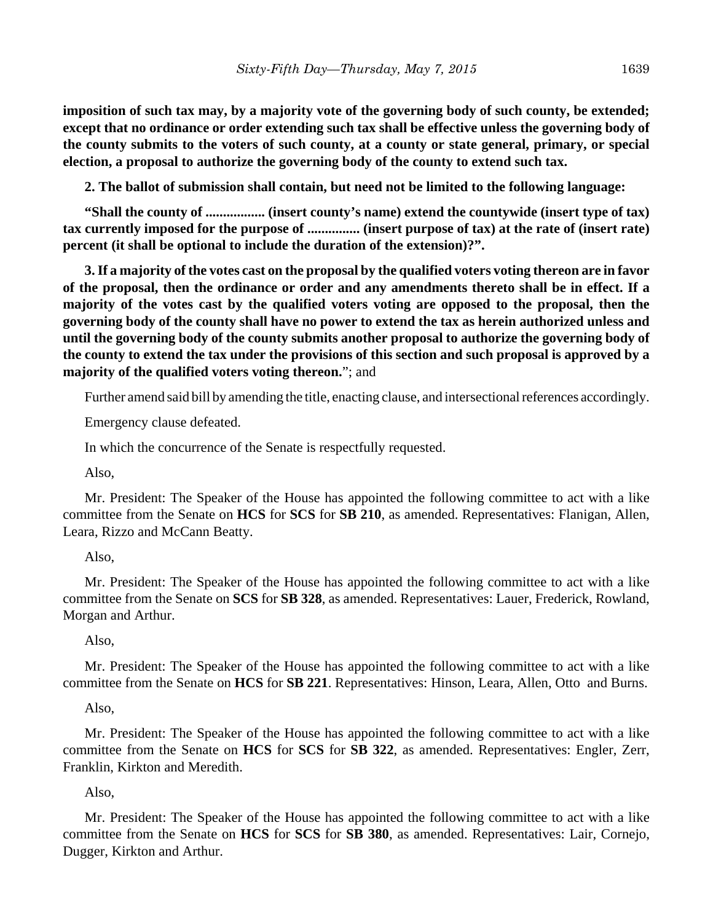**imposition of such tax may, by a majority vote of the governing body of such county, be extended; except that no ordinance or order extending such tax shall be effective unless the governing body of the county submits to the voters of such county, at a county or state general, primary, or special election, a proposal to authorize the governing body of the county to extend such tax.**

**2. The ballot of submission shall contain, but need not be limited to the following language:**

**"Shall the county of ................. (insert county's name) extend the countywide (insert type of tax) tax currently imposed for the purpose of ............... (insert purpose of tax) at the rate of (insert rate) percent (it shall be optional to include the duration of the extension)?".**

**3. If a majority of the votes cast on the proposal by the qualified voters voting thereon are in favor of the proposal, then the ordinance or order and any amendments thereto shall be in effect. If a majority of the votes cast by the qualified voters voting are opposed to the proposal, then the governing body of the county shall have no power to extend the tax as herein authorized unless and until the governing body of the county submits another proposal to authorize the governing body of the county to extend the tax under the provisions of this section and such proposal is approved by a majority of the qualified voters voting thereon.**"; and

Further amend said bill by amending the title, enacting clause, and intersectional references accordingly.

Emergency clause defeated.

In which the concurrence of the Senate is respectfully requested.

Also,

Mr. President: The Speaker of the House has appointed the following committee to act with a like committee from the Senate on **HCS** for **SCS** for **SB 210**, as amended. Representatives: Flanigan, Allen, Leara, Rizzo and McCann Beatty.

#### Also,

Mr. President: The Speaker of the House has appointed the following committee to act with a like committee from the Senate on **SCS** for **SB 328**, as amended. Representatives: Lauer, Frederick, Rowland, Morgan and Arthur.

## Also,

Mr. President: The Speaker of the House has appointed the following committee to act with a like committee from the Senate on **HCS** for **SB 221**. Representatives: Hinson, Leara, Allen, Otto and Burns.

#### Also,

Mr. President: The Speaker of the House has appointed the following committee to act with a like committee from the Senate on **HCS** for **SCS** for **SB 322**, as amended. Representatives: Engler, Zerr, Franklin, Kirkton and Meredith.

Also,

Mr. President: The Speaker of the House has appointed the following committee to act with a like committee from the Senate on **HCS** for **SCS** for **SB 380**, as amended. Representatives: Lair, Cornejo, Dugger, Kirkton and Arthur.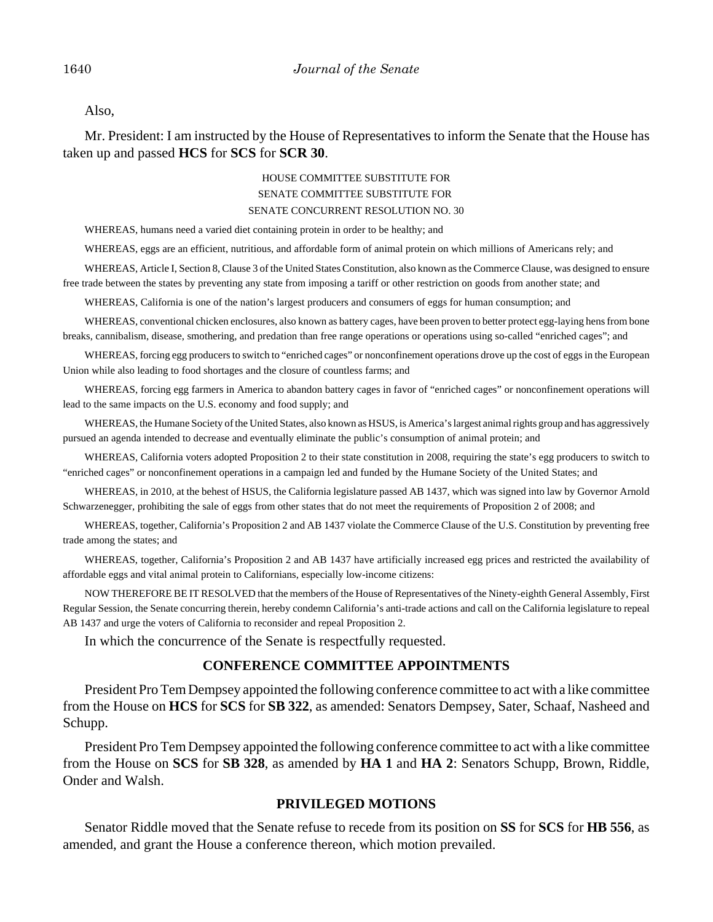Also,

Mr. President: I am instructed by the House of Representatives to inform the Senate that the House has taken up and passed **HCS** for **SCS** for **SCR 30**.

#### HOUSE COMMITTEE SUBSTITUTE FOR SENATE COMMITTEE SUBSTITUTE FOR SENATE CONCURRENT RESOLUTION NO. 30

WHEREAS, humans need a varied diet containing protein in order to be healthy; and

WHEREAS, eggs are an efficient, nutritious, and affordable form of animal protein on which millions of Americans rely; and

WHEREAS, Article I, Section 8, Clause 3 of the United States Constitution, also known as the Commerce Clause, was designed to ensure free trade between the states by preventing any state from imposing a tariff or other restriction on goods from another state; and

WHEREAS, California is one of the nation's largest producers and consumers of eggs for human consumption; and

WHEREAS, conventional chicken enclosures, also known as battery cages, have been proven to better protect egg-laying hens from bone breaks, cannibalism, disease, smothering, and predation than free range operations or operations using so-called "enriched cages"; and

WHEREAS, forcing egg producers to switch to "enriched cages" or nonconfinement operations drove up the cost of eggs in the European Union while also leading to food shortages and the closure of countless farms; and

WHEREAS, forcing egg farmers in America to abandon battery cages in favor of "enriched cages" or nonconfinement operations will lead to the same impacts on the U.S. economy and food supply; and

WHEREAS, the Humane Society of the United States, also known as HSUS, is America's largest animal rights group and has aggressively pursued an agenda intended to decrease and eventually eliminate the public's consumption of animal protein; and

WHEREAS, California voters adopted Proposition 2 to their state constitution in 2008, requiring the state's egg producers to switch to "enriched cages" or nonconfinement operations in a campaign led and funded by the Humane Society of the United States; and

WHEREAS, in 2010, at the behest of HSUS, the California legislature passed AB 1437, which was signed into law by Governor Arnold Schwarzenegger, prohibiting the sale of eggs from other states that do not meet the requirements of Proposition 2 of 2008; and

WHEREAS, together, California's Proposition 2 and AB 1437 violate the Commerce Clause of the U.S. Constitution by preventing free trade among the states; and

WHEREAS, together, California's Proposition 2 and AB 1437 have artificially increased egg prices and restricted the availability of affordable eggs and vital animal protein to Californians, especially low-income citizens:

NOW THEREFORE BE IT RESOLVED that the members of the House of Representatives of the Ninety-eighth General Assembly, First Regular Session, the Senate concurring therein, hereby condemn California's anti-trade actions and call on the California legislature to repeal AB 1437 and urge the voters of California to reconsider and repeal Proposition 2.

In which the concurrence of the Senate is respectfully requested.

## **CONFERENCE COMMITTEE APPOINTMENTS**

President Pro Tem Dempsey appointed the following conference committee to act with a like committee from the House on **HCS** for **SCS** for **SB 322**, as amended: Senators Dempsey, Sater, Schaaf, Nasheed and Schupp.

President Pro Tem Dempsey appointed the following conference committee to act with a like committee from the House on **SCS** for **SB 328**, as amended by **HA 1** and **HA 2**: Senators Schupp, Brown, Riddle, Onder and Walsh.

#### **PRIVILEGED MOTIONS**

Senator Riddle moved that the Senate refuse to recede from its position on **SS** for **SCS** for **HB 556**, as amended, and grant the House a conference thereon, which motion prevailed.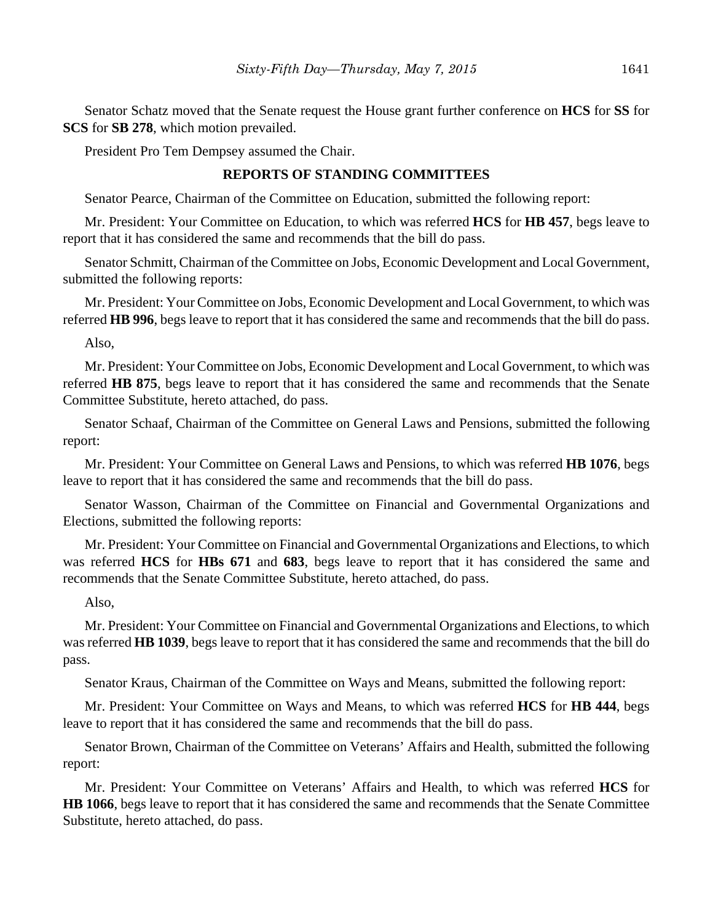Senator Schatz moved that the Senate request the House grant further conference on **HCS** for **SS** for **SCS** for **SB 278**, which motion prevailed.

President Pro Tem Dempsey assumed the Chair.

## **REPORTS OF STANDING COMMITTEES**

Senator Pearce, Chairman of the Committee on Education, submitted the following report:

Mr. President: Your Committee on Education, to which was referred **HCS** for **HB 457**, begs leave to report that it has considered the same and recommends that the bill do pass.

Senator Schmitt, Chairman of the Committee on Jobs, Economic Development and Local Government, submitted the following reports:

Mr. President: Your Committee on Jobs, Economic Development and Local Government, to which was referred **HB 996**, begs leave to report that it has considered the same and recommends that the bill do pass.

Also,

Mr. President: Your Committee on Jobs, Economic Development and Local Government, to which was referred **HB 875**, begs leave to report that it has considered the same and recommends that the Senate Committee Substitute, hereto attached, do pass.

Senator Schaaf, Chairman of the Committee on General Laws and Pensions, submitted the following report:

Mr. President: Your Committee on General Laws and Pensions, to which was referred **HB 1076**, begs leave to report that it has considered the same and recommends that the bill do pass.

Senator Wasson, Chairman of the Committee on Financial and Governmental Organizations and Elections, submitted the following reports:

Mr. President: Your Committee on Financial and Governmental Organizations and Elections, to which was referred **HCS** for **HBs 671** and **683**, begs leave to report that it has considered the same and recommends that the Senate Committee Substitute, hereto attached, do pass.

## Also,

Mr. President: Your Committee on Financial and Governmental Organizations and Elections, to which was referred **HB 1039**, begs leave to report that it has considered the same and recommends that the bill do pass.

Senator Kraus, Chairman of the Committee on Ways and Means, submitted the following report:

Mr. President: Your Committee on Ways and Means, to which was referred **HCS** for **HB 444**, begs leave to report that it has considered the same and recommends that the bill do pass.

Senator Brown, Chairman of the Committee on Veterans' Affairs and Health, submitted the following report:

Mr. President: Your Committee on Veterans' Affairs and Health, to which was referred **HCS** for **HB 1066**, begs leave to report that it has considered the same and recommends that the Senate Committee Substitute, hereto attached, do pass.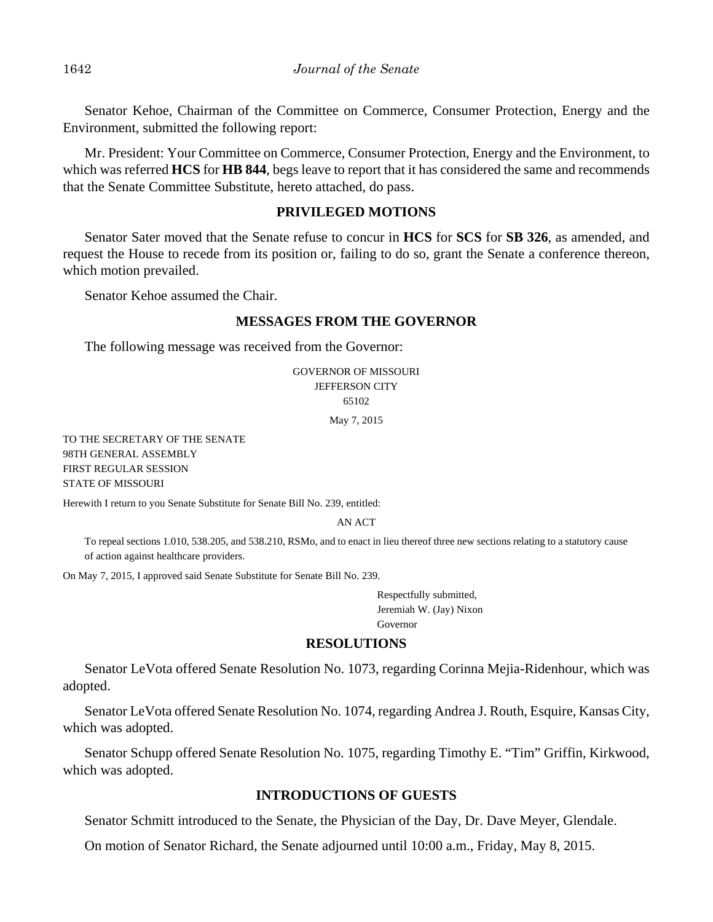Senator Kehoe, Chairman of the Committee on Commerce, Consumer Protection, Energy and the Environment, submitted the following report:

Mr. President: Your Committee on Commerce, Consumer Protection, Energy and the Environment, to which was referred **HCS** for **HB 844**, begs leave to report that it has considered the same and recommends that the Senate Committee Substitute, hereto attached, do pass.

## **PRIVILEGED MOTIONS**

Senator Sater moved that the Senate refuse to concur in **HCS** for **SCS** for **SB 326**, as amended, and request the House to recede from its position or, failing to do so, grant the Senate a conference thereon, which motion prevailed.

Senator Kehoe assumed the Chair.

#### **MESSAGES FROM THE GOVERNOR**

The following message was received from the Governor:

GOVERNOR OF MISSOURI JEFFERSON CITY 65102

May 7, 2015

TO THE SECRETARY OF THE SENATE 98TH GENERAL ASSEMBLY FIRST REGULAR SESSION STATE OF MISSOURI

Herewith I return to you Senate Substitute for Senate Bill No. 239, entitled:

AN ACT

To repeal sections 1.010, 538.205, and 538.210, RSMo, and to enact in lieu thereof three new sections relating to a statutory cause of action against healthcare providers.

On May 7, 2015, I approved said Senate Substitute for Senate Bill No. 239.

Respectfully submitted, Jeremiah W. (Jay) Nixon Governor

## **RESOLUTIONS**

Senator LeVota offered Senate Resolution No. 1073, regarding Corinna Mejia-Ridenhour, which was adopted.

Senator LeVota offered Senate Resolution No. 1074, regarding Andrea J. Routh, Esquire, Kansas City, which was adopted.

Senator Schupp offered Senate Resolution No. 1075, regarding Timothy E. "Tim" Griffin, Kirkwood, which was adopted.

# **INTRODUCTIONS OF GUESTS**

Senator Schmitt introduced to the Senate, the Physician of the Day, Dr. Dave Meyer, Glendale.

On motion of Senator Richard, the Senate adjourned until 10:00 a.m., Friday, May 8, 2015.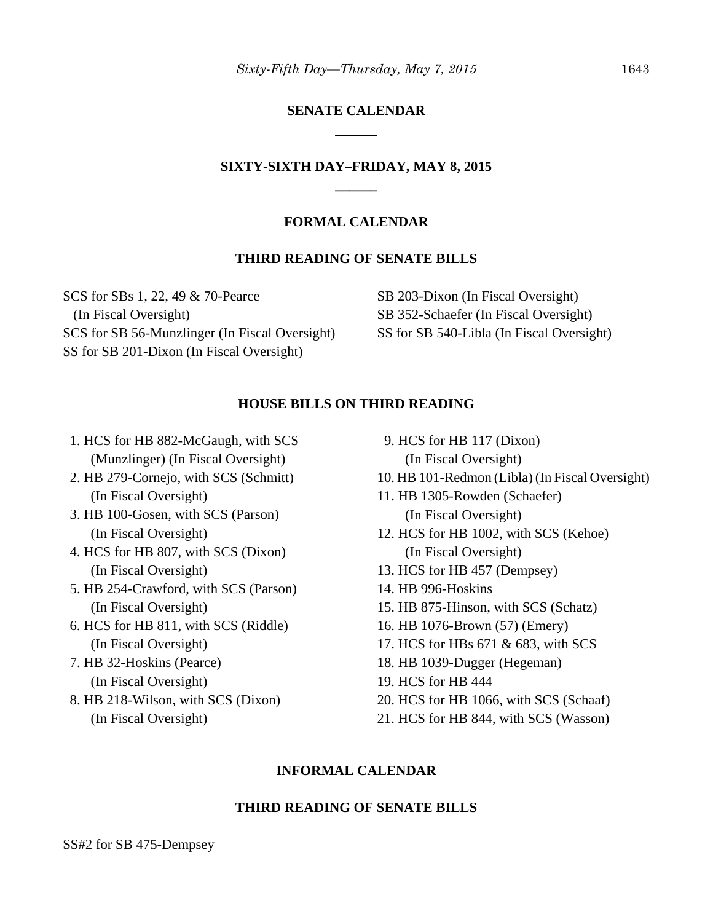# **SENATE CALENDAR \_\_\_\_\_\_**

# **SIXTY-SIXTH DAY–FRIDAY, MAY 8, 2015 \_\_\_\_\_\_**

#### **FORMAL CALENDAR**

#### **THIRD READING OF SENATE BILLS**

SCS for SBs 1, 22, 49 & 70-Pearce (In Fiscal Oversight) SCS for SB 56-Munzlinger (In Fiscal Oversight) SS for SB 201-Dixon (In Fiscal Oversight)

SB 203-Dixon (In Fiscal Oversight) SB 352-Schaefer (In Fiscal Oversight) SS for SB 540-Libla (In Fiscal Oversight)

#### **HOUSE BILLS ON THIRD READING**

- 1. HCS for HB 882-McGaugh, with SCS (Munzlinger) (In Fiscal Oversight)
- 2. HB 279-Cornejo, with SCS (Schmitt) (In Fiscal Oversight)
- 3. HB 100-Gosen, with SCS (Parson) (In Fiscal Oversight)
- 4. HCS for HB 807, with SCS (Dixon) (In Fiscal Oversight)
- 5. HB 254-Crawford, with SCS (Parson) (In Fiscal Oversight)
- 6. HCS for HB 811, with SCS (Riddle) (In Fiscal Oversight)
- 7. HB 32-Hoskins (Pearce) (In Fiscal Oversight)
- 8. HB 218-Wilson, with SCS (Dixon) (In Fiscal Oversight)
- 9. HCS for HB 117 (Dixon) (In Fiscal Oversight)
- 10. HB 101-Redmon (Libla) (In Fiscal Oversight)
- 11. HB 1305-Rowden (Schaefer) (In Fiscal Oversight)
- 12. HCS for HB 1002, with SCS (Kehoe) (In Fiscal Oversight)
- 13. HCS for HB 457 (Dempsey)
- 14. HB 996-Hoskins
- 15. HB 875-Hinson, with SCS (Schatz)
- 16. HB 1076-Brown (57) (Emery)
- 17. HCS for HBs 671 & 683, with SCS
- 18. HB 1039-Dugger (Hegeman)
- 19. HCS for HB 444
- 20. HCS for HB 1066, with SCS (Schaaf)
- 21. HCS for HB 844, with SCS (Wasson)

## **INFORMAL CALENDAR**

## **THIRD READING OF SENATE BILLS**

SS#2 for SB 475-Dempsey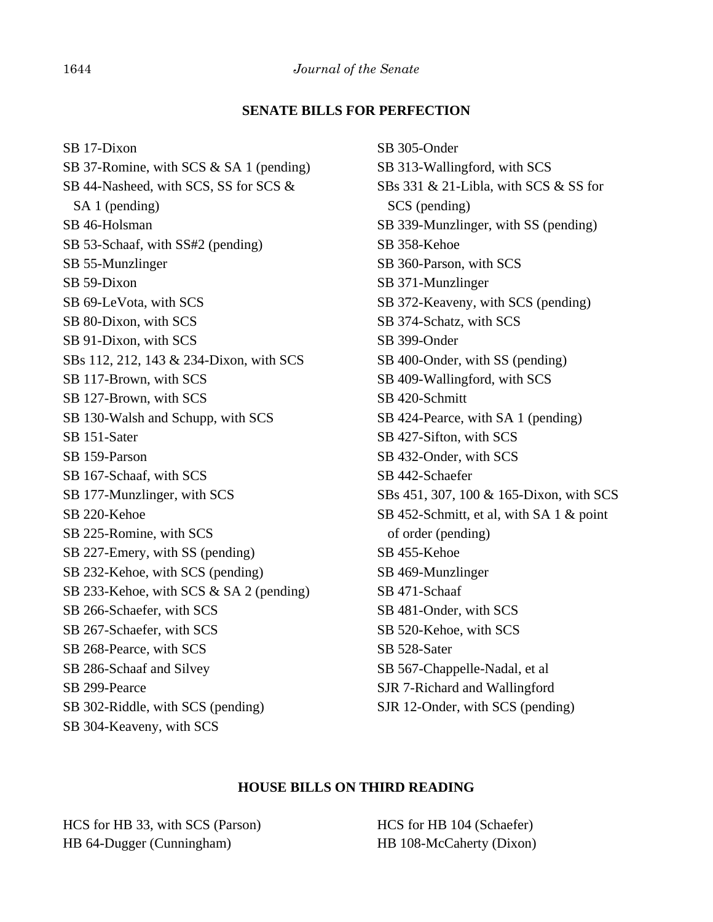#### **SENATE BILLS FOR PERFECTION**

SB 17-Dixon SB 37-Romine, with SCS & SA 1 (pending) SB 44-Nasheed, with SCS, SS for SCS & SA 1 (pending) SB 46-Holsman SB 53-Schaaf, with SS#2 (pending) SB 55-Munzlinger SB 59-Dixon SB 69-LeVota, with SCS SB 80-Dixon, with SCS SB 91-Dixon, with SCS SBs 112, 212, 143 & 234-Dixon, with SCS SB 117-Brown, with SCS SB 127-Brown, with SCS SB 130-Walsh and Schupp, with SCS SB 151-Sater SB 159-Parson SB 167-Schaaf, with SCS SB 177-Munzlinger, with SCS SB 220-Kehoe SB 225-Romine, with SCS SB 227-Emery, with SS (pending) SB 232-Kehoe, with SCS (pending) SB 233-Kehoe, with SCS & SA 2 (pending) SB 266-Schaefer, with SCS SB 267-Schaefer, with SCS SB 268-Pearce, with SCS SB 286-Schaaf and Silvey SB 299-Pearce SB 302-Riddle, with SCS (pending) SB 304-Keaveny, with SCS

SB 305-Onder SB 313-Wallingford, with SCS SBs 331 & 21-Libla, with SCS & SS for SCS (pending) SB 339-Munzlinger, with SS (pending) SB 358-Kehoe SB 360-Parson, with SCS SB 371-Munzlinger SB 372-Keaveny, with SCS (pending) SB 374-Schatz, with SCS SB 399-Onder SB 400-Onder, with SS (pending) SB 409-Wallingford, with SCS SB 420-Schmitt SB 424-Pearce, with SA 1 (pending) SB 427-Sifton, with SCS SB 432-Onder, with SCS SB 442-Schaefer SBs 451, 307, 100 & 165-Dixon, with SCS SB 452-Schmitt, et al, with SA 1 & point of order (pending) SB 455-Kehoe SB 469-Munzlinger SB 471-Schaaf SB 481-Onder, with SCS SB 520-Kehoe, with SCS SB 528-Sater SB 567-Chappelle-Nadal, et al SJR 7-Richard and Wallingford SJR 12-Onder, with SCS (pending)

#### **HOUSE BILLS ON THIRD READING**

HCS for HB 33, with SCS (Parson) HB 64-Dugger (Cunningham)

HCS for HB 104 (Schaefer) HB 108-McCaherty (Dixon)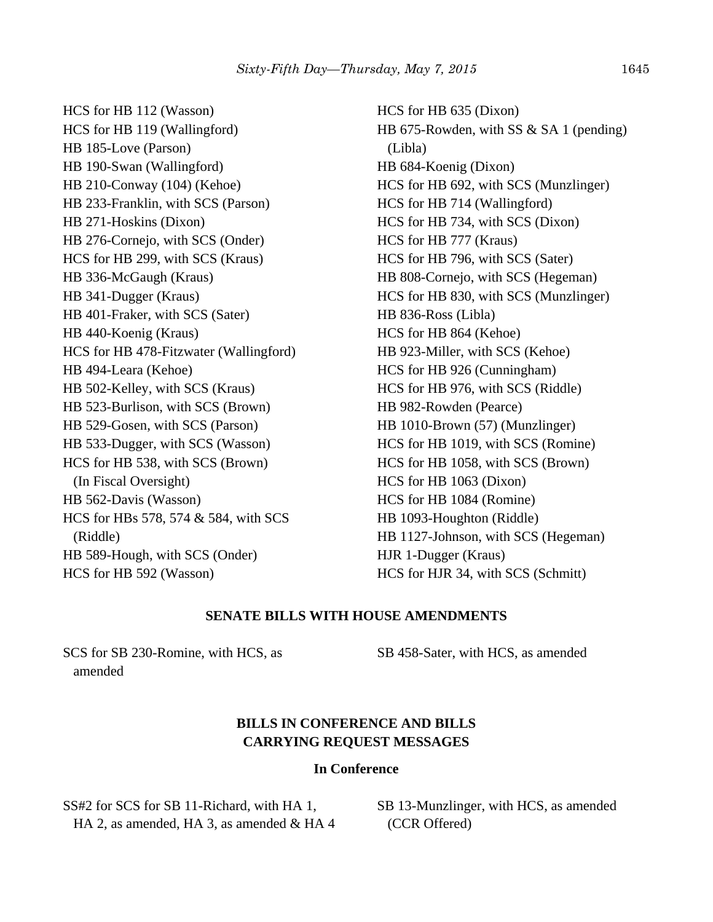HCS for HB 112 (Wasson) HCS for HB 119 (Wallingford) HB 185-Love (Parson) HB 190-Swan (Wallingford) HB 210-Conway (104) (Kehoe) HB 233-Franklin, with SCS (Parson) HB 271-Hoskins (Dixon) HB 276-Cornejo, with SCS (Onder) HCS for HB 299, with SCS (Kraus) HB 336-McGaugh (Kraus) HB 341-Dugger (Kraus) HB 401-Fraker, with SCS (Sater) HB 440-Koenig (Kraus) HCS for HB 478-Fitzwater (Wallingford) HB 494-Leara (Kehoe) HB 502-Kelley, with SCS (Kraus) HB 523-Burlison, with SCS (Brown) HB 529-Gosen, with SCS (Parson) HB 533-Dugger, with SCS (Wasson) HCS for HB 538, with SCS (Brown) (In Fiscal Oversight) HB 562-Davis (Wasson) HCS for HBs 578, 574 & 584, with SCS (Riddle) HB 589-Hough, with SCS (Onder) HCS for HB 592 (Wasson)

HCS for HB 635 (Dixon) HB 675-Rowden, with SS & SA 1 (pending) (Libla) HB 684-Koenig (Dixon) HCS for HB 692, with SCS (Munzlinger) HCS for HB 714 (Wallingford) HCS for HB 734, with SCS (Dixon) HCS for HB 777 (Kraus) HCS for HB 796, with SCS (Sater) HB 808-Cornejo, with SCS (Hegeman) HCS for HB 830, with SCS (Munzlinger) HB 836-Ross (Libla) HCS for HB 864 (Kehoe) HB 923-Miller, with SCS (Kehoe) HCS for HB 926 (Cunningham) HCS for HB 976, with SCS (Riddle) HB 982-Rowden (Pearce) HB 1010-Brown (57) (Munzlinger) HCS for HB 1019, with SCS (Romine) HCS for HB 1058, with SCS (Brown) HCS for HB 1063 (Dixon) HCS for HB 1084 (Romine) HB 1093-Houghton (Riddle) HB 1127-Johnson, with SCS (Hegeman) HJR 1-Dugger (Kraus) HCS for HJR 34, with SCS (Schmitt)

#### **SENATE BILLS WITH HOUSE AMENDMENTS**

SCS for SB 230-Romine, with HCS, as amended

SB 458-Sater, with HCS, as amended

# **BILLS IN CONFERENCE AND BILLS CARRYING REQUEST MESSAGES**

#### **In Conference**

SS#2 for SCS for SB 11-Richard, with HA 1, HA 2, as amended, HA 3, as amended & HA 4 SB 13-Munzlinger, with HCS, as amended (CCR Offered)